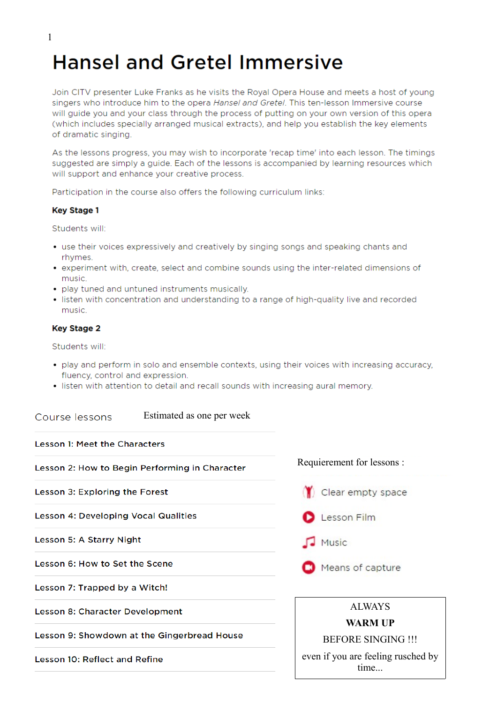# **Hansel and Gretel Immersive**

Join CITV presenter Luke Franks as he visits the Royal Opera House and meets a host of young singers who introduce him to the opera Hansel and Gretel. This ten-lesson Immersive course will guide you and your class through the process of putting on your own version of this opera (which includes specially arranged musical extracts), and help you establish the key elements of dramatic singing.

As the lessons progress, you may wish to incorporate 'recap time' into each lesson. The timings suggested are simply a guide. Each of the lessons is accompanied by learning resources which will support and enhance your creative process.

Participation in the course also offers the following curriculum links:

#### **Key Stage 1**

Students will:

- use their voices expressively and creatively by singing songs and speaking chants and rhymes.
- experiment with, create, select and combine sounds using the inter-related dimensions of music.
- · play tuned and untuned instruments musically.
- listen with concentration and understanding to a range of high-quality live and recorded music

#### **Key Stage 2**

Students will:

- play and perform in solo and ensemble contexts, using their voices with increasing accuracy, fluency, control and expression.
- · listen with attention to detail and recall sounds with increasing aural memory.

#### Estimated as one per week Course lessons

**Lesson 1: Meet the Characters** 

Lesson 2: How to Begin Performing in Character

Lesson 3: Exploring the Forest

**Lesson 4: Developing Vocal Qualities** 

Lesson 5: A Starry Night

Lesson 6: How to Set the Scene

Lesson 7: Trapped by a Witch!

**Lesson 8: Character Development** 

Lesson 9: Showdown at the Gingerbread House

**Lesson 10: Reflect and Refine** 

Requierement for lessons :





- Music
- Means of capture

#### ALWAYS

#### **WARM UP**

BEFORE SINGING !!!

even if you are feeling rusched by time...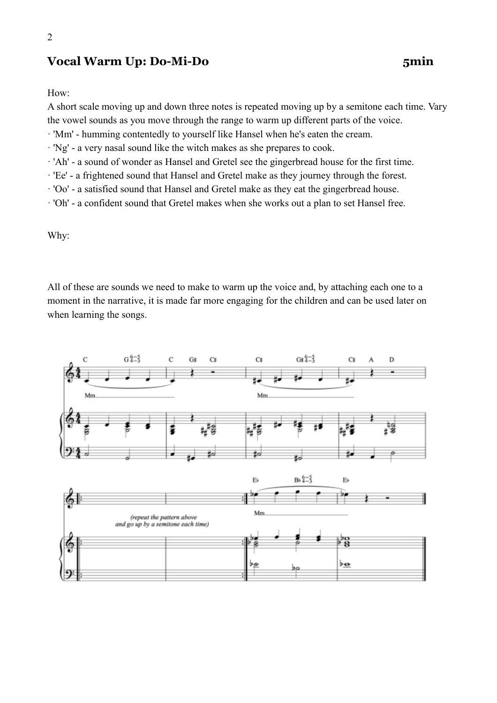### **Vocal Warm Up: Do-Mi-Do 5min**

#### How:

A short scale moving up and down three notes is repeated moving up by a semitone each time. Vary the vowel sounds as you move through the range to warm up different parts of the voice.

- · 'Mm' humming contentedly to yourself like Hansel when he's eaten the cream.
- · 'Ng' a very nasal sound like the witch makes as she prepares to cook.
- · 'Ah' a sound of wonder as Hansel and Gretel see the gingerbread house for the first time.
- · 'Ee' a frightened sound that Hansel and Gretel make as they journey through the forest.
- · 'Oo' a satisfied sound that Hansel and Gretel make as they eat the gingerbread house.
- · 'Oh' a confident sound that Gretel makes when she works out a plan to set Hansel free.

Why:

All of these are sounds we need to make to warm up the voice and, by attaching each one to a moment in the narrative, it is made far more engaging for the children and can be used later on when learning the songs.

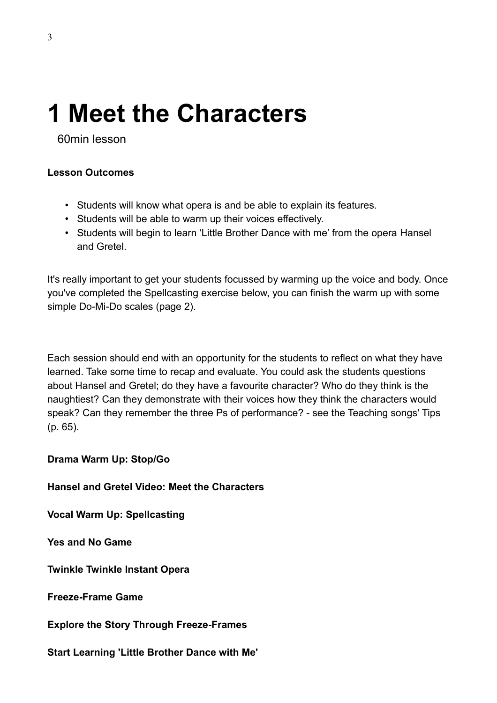# **1 Meet the Characters**

60min lesson

### **Lesson Outcomes**

- Students will know what opera is and be able to explain its features.
- Students will be able to warm up their voices effectively.
- Students will begin to learn 'Little Brother Dance with me' from the opera Hansel and Gretel.

It's really important to get your students focussed by warming up the voice and body. Once you've completed the Spellcasting exercise below, you can finish the warm up with some simple Do-Mi-Do scales (page 2).

Each session should end with an opportunity for the students to reflect on what they have learned. Take some time to recap and evaluate. You could ask the students questions about Hansel and Gretel; do they have a favourite character? Who do they think is the naughtiest? Can they demonstrate with their voices how they think the characters would speak? Can they remember the three Ps of performance? - see the Teaching songs' Tips (p. 65).

**Drama Warm Up: Stop/Go**

**Hansel and Gretel Video: Meet the Characters**

**Vocal Warm Up: Spellcasting**

**Yes and No Game**

**Twinkle Twinkle Instant Opera**

**Freeze-Frame Game**

**Explore the Story Through Freeze-Frames**

**Start Learning 'Little Brother Dance with Me'**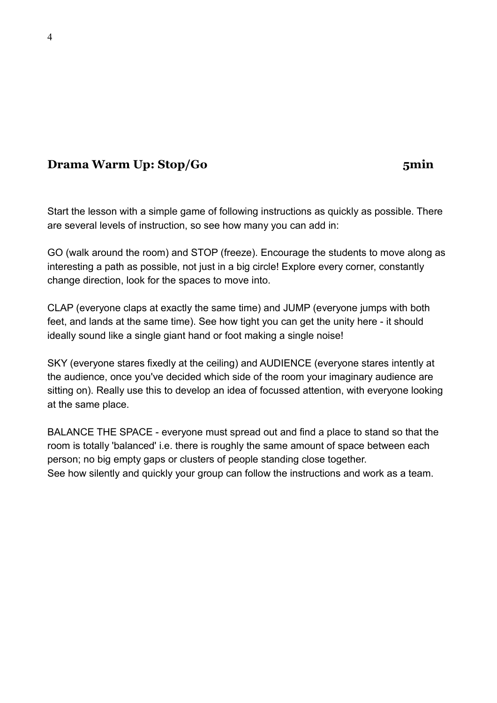# **Drama Warm Up: Stop/Go** 5min

Start the lesson with a simple game of following instructions as quickly as possible. There are several levels of instruction, so see how many you can add in:

GO (walk around the room) and STOP (freeze). Encourage the students to move along as interesting a path as possible, not just in a big circle! Explore every corner, constantly change direction, look for the spaces to move into.

CLAP (everyone claps at exactly the same time) and JUMP (everyone jumps with both feet, and lands at the same time). See how tight you can get the unity here - it should ideally sound like a single giant hand or foot making a single noise!

SKY (everyone stares fixedly at the ceiling) and AUDIENCE (everyone stares intently at the audience, once you've decided which side of the room your imaginary audience are sitting on). Really use this to develop an idea of focussed attention, with everyone looking at the same place.

BALANCE THE SPACE - everyone must spread out and find a place to stand so that the room is totally 'balanced' i.e. there is roughly the same amount of space between each person; no big empty gaps or clusters of people standing close together. See how silently and quickly your group can follow the instructions and work as a team.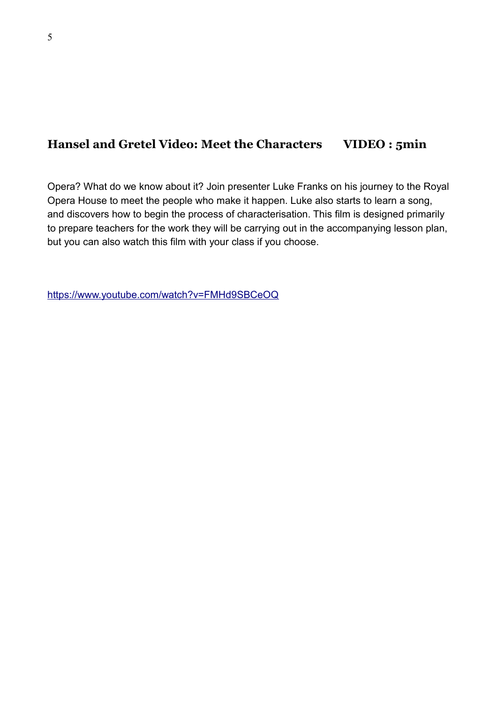### **Hansel and Gretel Video: Meet the Characters VIDEO : 5min**

Opera? What do we know about it? Join presenter Luke Franks on his journey to the Royal Opera House to meet the people who make it happen. Luke also starts to learn a song, and discovers how to begin the process of characterisation. This film is designed primarily to prepare teachers for the work they will be carrying out in the accompanying lesson plan, but you can also watch this film with your class if you choose.

<https://www.youtube.com/watch?v=FMHd9SBCeOQ>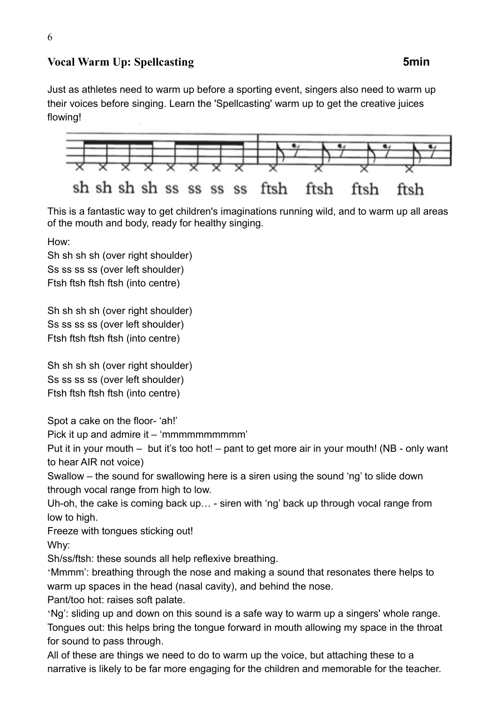### **Vocal Warm Up: Spellcasting <b>5min**

Just as athletes need to warm up before a sporting event, singers also need to warm up their voices before singing. Learn the 'Spellcasting' warm up to get the creative juices flowing!



This is a fantastic way to get children's imaginations running wild, and to warm up all areas of the mouth and body, ready for healthy singing.

How:

Sh sh sh sh (over right shoulder) Ss ss ss ss (over left shoulder) Ftsh ftsh ftsh ftsh (into centre)

Sh sh sh sh (over right shoulder) Ss ss ss ss (over left shoulder) Ftsh ftsh ftsh ftsh (into centre)

Sh sh sh sh (over right shoulder) Ss ss ss ss (over left shoulder) Ftsh ftsh ftsh ftsh (into centre)

Spot a cake on the floor- 'ah!'

Pick it up and admire it – 'mmmmmmmmmm'

Put it in your mouth – but it's too hot! – pant to get more air in your mouth! (NB - only want to hear AIR not voice)

Swallow – the sound for swallowing here is a siren using the sound 'ng' to slide down through vocal range from high to low.

Uh-oh, the cake is coming back up… - siren with 'ng' back up through vocal range from low to high.

Freeze with tongues sticking out!

Why:

Sh/ss/ftsh: these sounds all help reflexive breathing.

'Mmmm': breathing through the nose and making a sound that resonates there helps to warm up spaces in the head (nasal cavity), and behind the nose.

Pant/too hot: raises soft palate.

'Ng': sliding up and down on this sound is a safe way to warm up a singers' whole range. Tongues out: this helps bring the tongue forward in mouth allowing my space in the throat for sound to pass through.

All of these are things we need to do to warm up the voice, but attaching these to a narrative is likely to be far more engaging for the children and memorable for the teacher.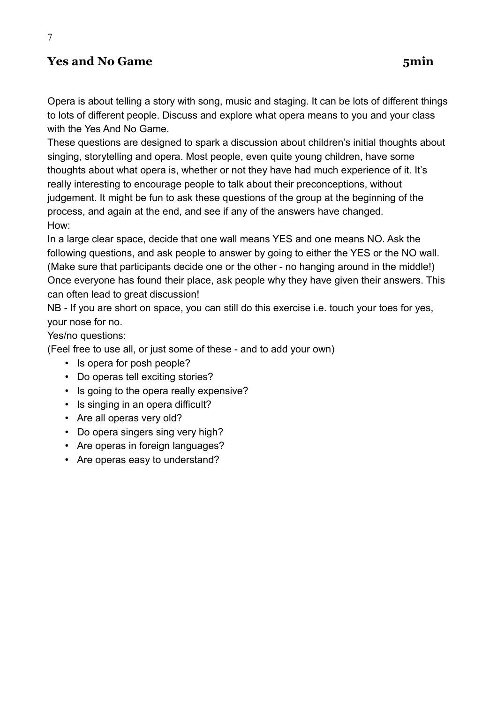# **Yes and No Game 5min**

7

Opera is about telling a story with song, music and staging. It can be lots of different things to lots of different people. Discuss and explore what opera means to you and your class with the Yes And No Game.

These questions are designed to spark a discussion about children's initial thoughts about singing, storytelling and opera. Most people, even quite young children, have some thoughts about what opera is, whether or not they have had much experience of it. It's really interesting to encourage people to talk about their preconceptions, without judgement. It might be fun to ask these questions of the group at the beginning of the process, and again at the end, and see if any of the answers have changed. How:

In a large clear space, decide that one wall means YES and one means NO. Ask the following questions, and ask people to answer by going to either the YES or the NO wall. (Make sure that participants decide one or the other - no hanging around in the middle!) Once everyone has found their place, ask people why they have given their answers. This can often lead to great discussion!

NB - If you are short on space, you can still do this exercise i.e. touch your toes for yes, your nose for no.

Yes/no questions:

(Feel free to use all, or just some of these - and to add your own)

- Is opera for posh people?
- Do operas tell exciting stories?
- Is going to the opera really expensive?
- Is singing in an opera difficult?
- Are all operas very old?
- Do opera singers sing very high?
- Are operas in foreign languages?
- Are operas easy to understand?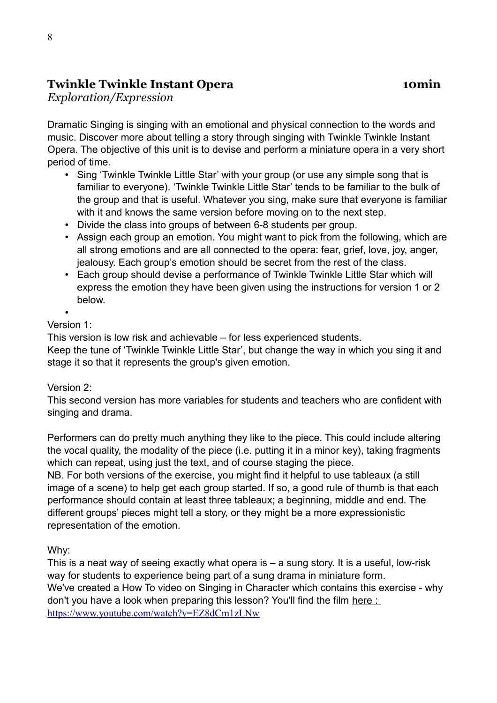# **Twinkle Twinkle Instant Opera 10min**

*Exploration/Expression*

Dramatic Singing is singing with an emotional and physical connection to the words and music. Discover more about telling a story through singing with Twinkle Twinkle Instant Opera. The objective of this unit is to devise and perform a miniature opera in a very short period of time.

- Sing 'Twinkle Twinkle Little Star' with your group (or use any simple song that is familiar to everyone). 'Twinkle Twinkle Little Star' tends to be familiar to the bulk of the group and that is useful. Whatever you sing, make sure that everyone is familiar with it and knows the same version before moving on to the next step.
- Divide the class into groups of between 6-8 students per group.
- Assign each group an emotion. You might want to pick from the following, which are all strong emotions and are all connected to the opera: fear, grief, love, joy, anger, jealousy. Each group's emotion should be secret from the rest of the class.
- Each group should devise a performance of Twinkle Twinkle Little Star which will express the emotion they have been given using the instructions for version 1 or 2 below.

•

#### Version 1:

This version is low risk and achievable – for less experienced students.

Keep the tune of 'Twinkle Twinkle Little Star', but change the way in which you sing it and stage it so that it represents the group's given emotion.

#### Version 2:

This second version has more variables for students and teachers who are confident with singing and drama.

Performers can do pretty much anything they like to the piece. This could include altering the vocal quality, the modality of the piece (i.e. putting it in a minor key), taking fragments which can repeat, using just the text, and of course staging the piece.

NB. For both versions of the exercise, you might find it helpful to use tableaux (a still image of a scene) to help get each group started. If so, a good rule of thumb is that each performance should contain at least three tableaux; a beginning, middle and end. The different groups' pieces might tell a story, or they might be a more expressionistic representation of the emotion.

Why:

This is a neat way of seeing exactly what opera is – a sung story. It is a useful, low-risk way for students to experience being part of a sung drama in miniature form. We've created a How To video on Singing in Character which contains this exercise - why don't you have a look when preparing this lesson? You'll find the film here : <https://www.youtube.com/watch?v=EZ8dCm1zLNw>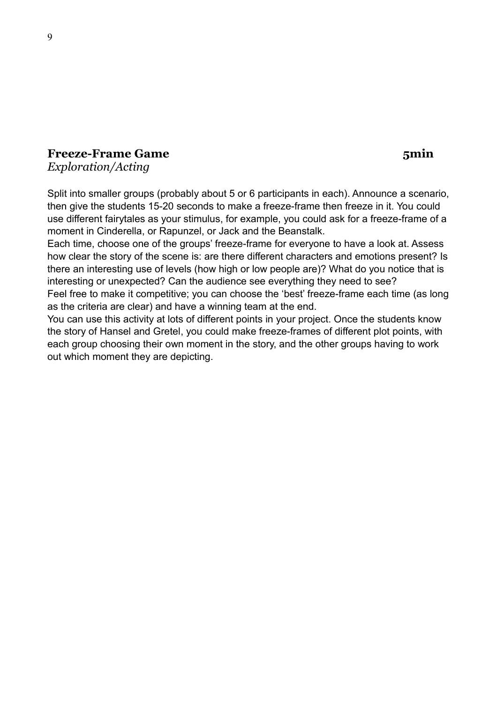#### **Freeze-Frame Game 5min** *Exploration/Acting*

Split into smaller groups (probably about 5 or 6 participants in each). Announce a scenario, then give the students 15-20 seconds to make a freeze-frame then freeze in it. You could use different fairytales as your stimulus, for example, you could ask for a freeze-frame of a moment in Cinderella, or Rapunzel, or Jack and the Beanstalk.

Each time, choose one of the groups' freeze-frame for everyone to have a look at. Assess how clear the story of the scene is: are there different characters and emotions present? Is there an interesting use of levels (how high or low people are)? What do you notice that is interesting or unexpected? Can the audience see everything they need to see? Feel free to make it competitive; you can choose the 'best' freeze-frame each time (as long

as the criteria are clear) and have a winning team at the end.

You can use this activity at lots of different points in your project. Once the students know the story of Hansel and Gretel, you could make freeze-frames of different plot points, with each group choosing their own moment in the story, and the other groups having to work out which moment they are depicting.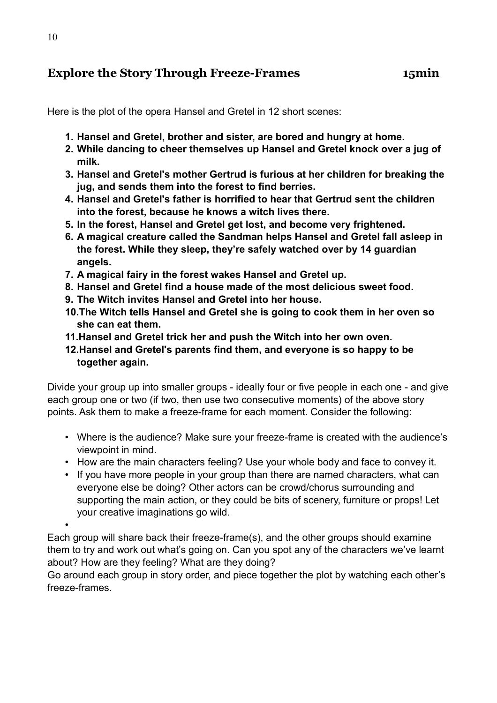# **Explore the Story Through Freeze-Frames 15min**

Here is the plot of the opera Hansel and Gretel in 12 short scenes:

- **1. Hansel and Gretel, brother and sister, are bored and hungry at home.**
- **2. While dancing to cheer themselves up Hansel and Gretel knock over a jug of milk.**
- **3. Hansel and Gretel's mother Gertrud is furious at her children for breaking the jug, and sends them into the forest to find berries.**
- **4. Hansel and Gretel's father is horrified to hear that Gertrud sent the children into the forest, because he knows a witch lives there.**
- **5. In the forest, Hansel and Gretel get lost, and become very frightened.**
- **6. A magical creature called the Sandman helps Hansel and Gretel fall asleep in the forest. While they sleep, they're safely watched over by 14 guardian angels.**
- **7. A magical fairy in the forest wakes Hansel and Gretel up.**
- **8. Hansel and Gretel find a house made of the most delicious sweet food.**
- **9. The Witch invites Hansel and Gretel into her house.**
- **10.The Witch tells Hansel and Gretel she is going to cook them in her oven so she can eat them.**
- **11.Hansel and Gretel trick her and push the Witch into her own oven.**
- **12.Hansel and Gretel's parents find them, and everyone is so happy to be together again.**

Divide your group up into smaller groups - ideally four or five people in each one - and give each group one or two (if two, then use two consecutive moments) of the above story points. Ask them to make a freeze-frame for each moment. Consider the following:

- Where is the audience? Make sure your freeze-frame is created with the audience's viewpoint in mind.
- How are the main characters feeling? Use your whole body and face to convey it.
- If you have more people in your group than there are named characters, what can everyone else be doing? Other actors can be crowd/chorus surrounding and supporting the main action, or they could be bits of scenery, furniture or props! Let your creative imaginations go wild.

•

Each group will share back their freeze-frame(s), and the other groups should examine them to try and work out what's going on. Can you spot any of the characters we've learnt about? How are they feeling? What are they doing?

Go around each group in story order, and piece together the plot by watching each other's freeze-frames.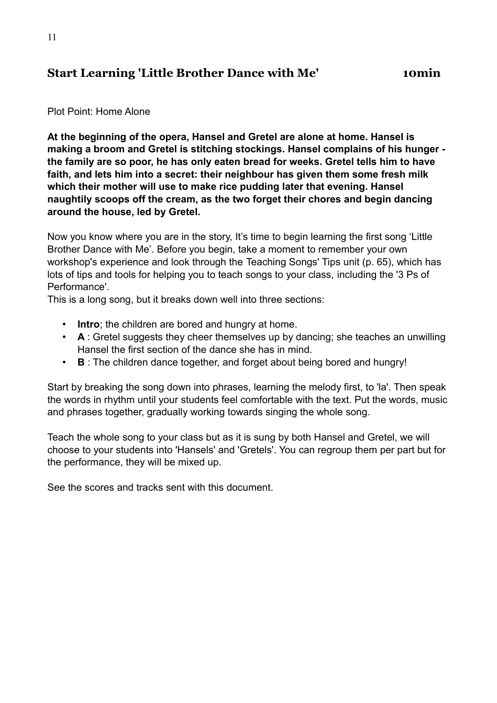### **Start Learning 'Little Brother Dance with Me' 10min**

#### Plot Point: Home Alone

**At the beginning of the opera, Hansel and Gretel are alone at home. Hansel is making a broom and Gretel is stitching stockings. Hansel complains of his hunger the family are so poor, he has only eaten bread for weeks. Gretel tells him to have faith, and lets him into a secret: their neighbour has given them some fresh milk which their mother will use to make rice pudding later that evening. Hansel naughtily scoops off the cream, as the two forget their chores and begin dancing around the house, led by Gretel.**

Now you know where you are in the story, It's time to begin learning the first song 'Little Brother Dance with Me'. Before you begin, take a moment to remember your own workshop's experience and look through the Teaching Songs' Tips unit (p. 65), which has lots of tips and tools for helping you to teach songs to your class, including the '3 Ps of Performance'.

This is a long song, but it breaks down well into three sections:

- **Intro**; the children are bored and hungry at home.
- **A** : Gretel suggests they cheer themselves up by dancing; she teaches an unwilling Hansel the first section of the dance she has in mind.
- **B** : The children dance together, and forget about being bored and hungry!

Start by breaking the song down into phrases, learning the melody first, to 'la'. Then speak the words in rhythm until your students feel comfortable with the text. Put the words, music and phrases together, gradually working towards singing the whole song.

Teach the whole song to your class but as it is sung by both Hansel and Gretel, we will choose to your students into 'Hansels' and 'Gretels'. You can regroup them per part but for the performance, they will be mixed up.

See the scores and tracks sent with this document.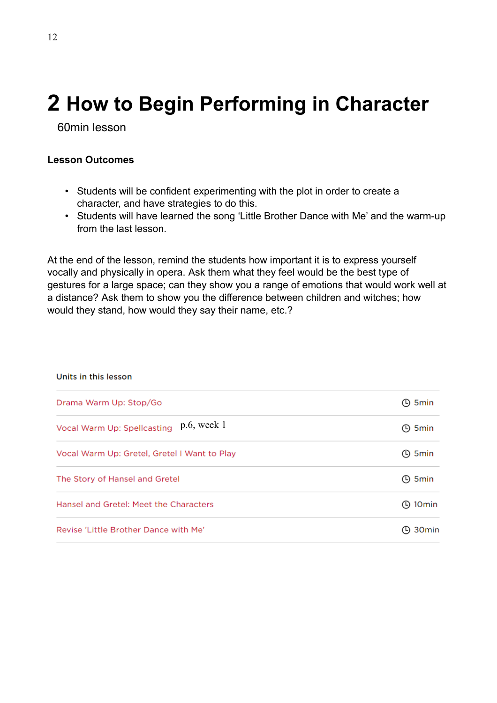# **2 How to Begin Performing in Character**

60min lesson

#### **Lesson Outcomes**

- Students will be confident experimenting with the plot in order to create a character, and have strategies to do this.
- Students will have learned the song 'Little Brother Dance with Me' and the warm-up from the last lesson.

At the end of the lesson, remind the students how important it is to express yourself vocally and physically in opera. Ask them what they feel would be the best type of gestures for a large space; can they show you a range of emotions that would work well at a distance? Ask them to show you the difference between children and witches; how would they stand, how would they say their name, etc.?

| Units in this lesson                         |                     |
|----------------------------------------------|---------------------|
| Drama Warm Up: Stop/Go                       | ① 5min              |
| Vocal Warm Up: Spellcasting p.6, week 1      | ① 5min              |
| Vocal Warm Up: Gretel, Gretel I Want to Play | <b>4</b> 5 min      |
| The Story of Hansel and Gretel               | <b>4</b> 5 min      |
| Hansel and Gretel: Meet the Characters       | $\bigcirc$ 10 min   |
| Revise 'Little Brother Dance with Me'        | $\bigcirc$ 30 $min$ |

#### **The Secretary Advisor**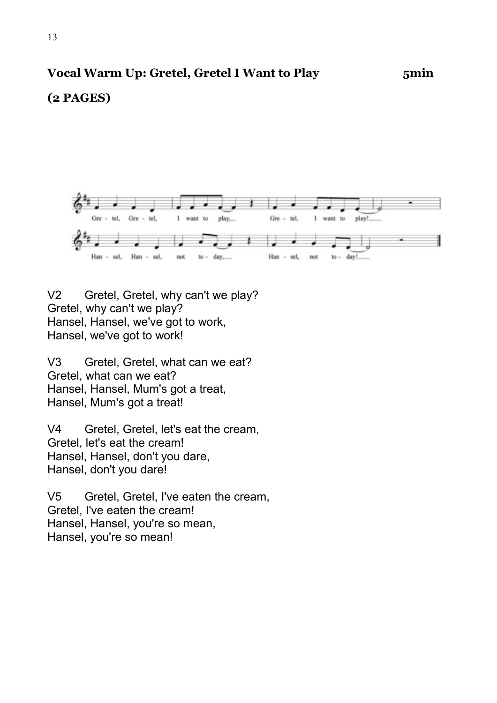### **(2 PAGES)**



V2 Gretel, Gretel, why can't we play? Gretel, why can't we play? Hansel, Hansel, we've got to work, Hansel, we've got to work!

V3 Gretel, Gretel, what can we eat? Gretel, what can we eat? Hansel, Hansel, Mum's got a treat, Hansel, Mum's got a treat!

V4 Gretel, Gretel, let's eat the cream, Gretel, let's eat the cream! Hansel, Hansel, don't you dare, Hansel, don't you dare!

V5 Gretel, Gretel, I've eaten the cream, Gretel, I've eaten the cream! Hansel, Hansel, you're so mean, Hansel, you're so mean!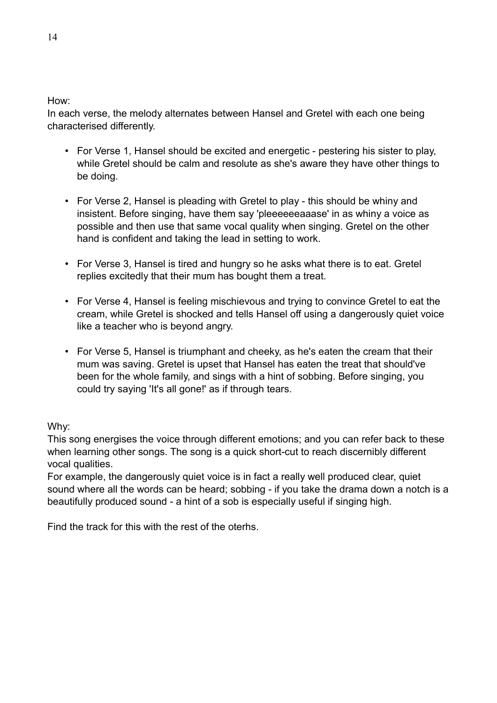How:

In each verse, the melody alternates between Hansel and Gretel with each one being characterised differently.

- For Verse 1, Hansel should be excited and energetic pestering his sister to play, while Gretel should be calm and resolute as she's aware they have other things to be doing.
- For Verse 2, Hansel is pleading with Gretel to play this should be whiny and insistent. Before singing, have them say 'pleeeeeeaaase' in as whiny a voice as possible and then use that same vocal quality when singing. Gretel on the other hand is confident and taking the lead in setting to work.
- For Verse 3, Hansel is tired and hungry so he asks what there is to eat. Gretel replies excitedly that their mum has bought them a treat.
- For Verse 4, Hansel is feeling mischievous and trying to convince Gretel to eat the cream, while Gretel is shocked and tells Hansel off using a dangerously quiet voice like a teacher who is beyond angry.
- For Verse 5, Hansel is triumphant and cheeky, as he's eaten the cream that their mum was saving. Gretel is upset that Hansel has eaten the treat that should've been for the whole family, and sings with a hint of sobbing. Before singing, you could try saying 'It's all gone!' as if through tears.

Why:

This song energises the voice through different emotions; and you can refer back to these when learning other songs. The song is a quick short-cut to reach discernibly different vocal qualities.

For example, the dangerously quiet voice is in fact a really well produced clear, quiet sound where all the words can be heard; sobbing - if you take the drama down a notch is a beautifully produced sound - a hint of a sob is especially useful if singing high.

Find the track for this with the rest of the oterhs.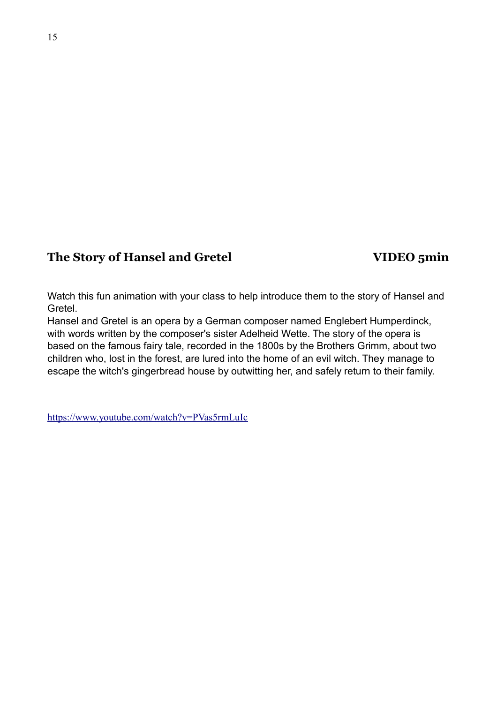#### **The Story of Hansel and Gretel VIDEO 5min**

Watch this fun animation with your class to help introduce them to the story of Hansel and Gretel.

Hansel and Gretel is an opera by a German composer named Englebert Humperdinck, with words written by the composer's sister Adelheid Wette. The story of the opera is based on the famous fairy tale, recorded in the 1800s by the Brothers Grimm, about two children who, lost in the forest, are lured into the home of an evil witch. They manage to escape the witch's gingerbread house by outwitting her, and safely return to their family.

<https://www.youtube.com/watch?v=PVas5rmLuIc>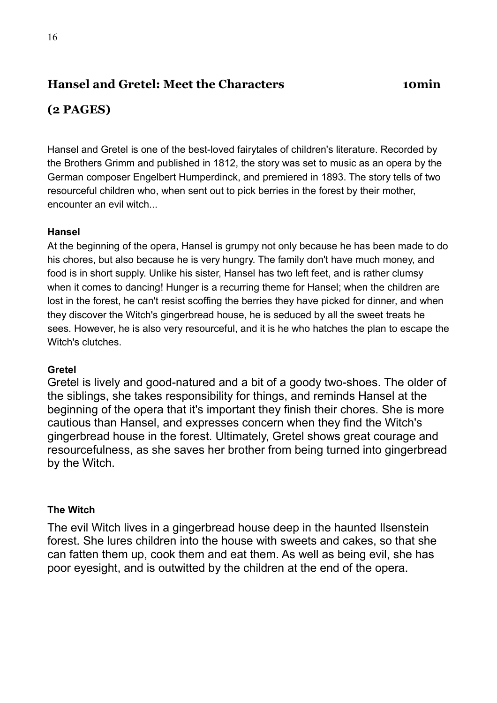# **Hansel and Gretel: Meet the Characters 10min**

# **(2 PAGES)**

Hansel and Gretel is one of the best-loved fairytales of children's literature. Recorded by the Brothers Grimm and published in 1812, the story was set to music as an opera by the German composer Engelbert Humperdinck, and premiered in 1893. The story tells of two resourceful children who, when sent out to pick berries in the forest by their mother, encounter an evil witch...

#### **Hansel**

At the beginning of the opera, Hansel is grumpy not only because he has been made to do his chores, but also because he is very hungry. The family don't have much money, and food is in short supply. Unlike his sister, Hansel has two left feet, and is rather clumsy when it comes to dancing! Hunger is a recurring theme for Hansel; when the children are lost in the forest, he can't resist scoffing the berries they have picked for dinner, and when they discover the Witch's gingerbread house, he is seduced by all the sweet treats he sees. However, he is also very resourceful, and it is he who hatches the plan to escape the Witch's clutches.

#### **Gretel**

Gretel is lively and good-natured and a bit of a goody two-shoes. The older of the siblings, she takes responsibility for things, and reminds Hansel at the beginning of the opera that it's important they finish their chores. She is more cautious than Hansel, and expresses concern when they find the Witch's gingerbread house in the forest. Ultimately, Gretel shows great courage and resourcefulness, as she saves her brother from being turned into gingerbread by the Witch.

#### **The Witch**

The evil Witch lives in a gingerbread house deep in the haunted Ilsenstein forest. She lures children into the house with sweets and cakes, so that she can fatten them up, cook them and eat them. As well as being evil, she has poor eyesight, and is outwitted by the children at the end of the opera.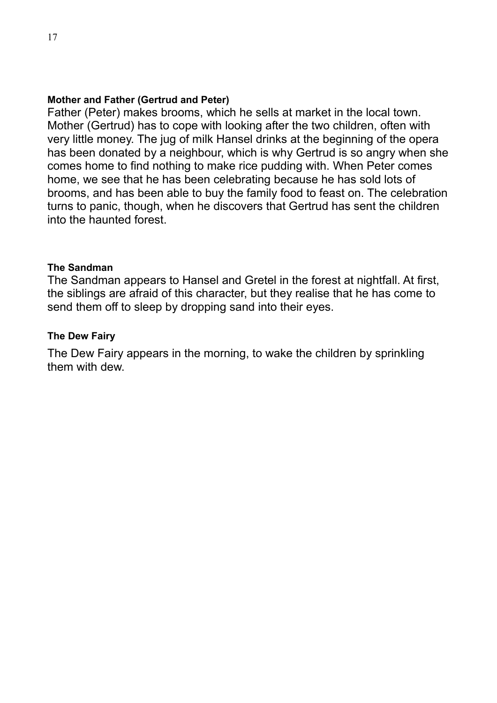#### **Mother and Father (Gertrud and Peter)**

Father (Peter) makes brooms, which he sells at market in the local town. Mother (Gertrud) has to cope with looking after the two children, often with very little money. The jug of milk Hansel drinks at the beginning of the opera has been donated by a neighbour, which is why Gertrud is so angry when she comes home to find nothing to make rice pudding with. When Peter comes home, we see that he has been celebrating because he has sold lots of brooms, and has been able to buy the family food to feast on. The celebration turns to panic, though, when he discovers that Gertrud has sent the children into the haunted forest.

#### **The Sandman**

The Sandman appears to Hansel and Gretel in the forest at nightfall. At first, the siblings are afraid of this character, but they realise that he has come to send them off to sleep by dropping sand into their eyes.

#### **The Dew Fairy**

The Dew Fairy appears in the morning, to wake the children by sprinkling them with dew.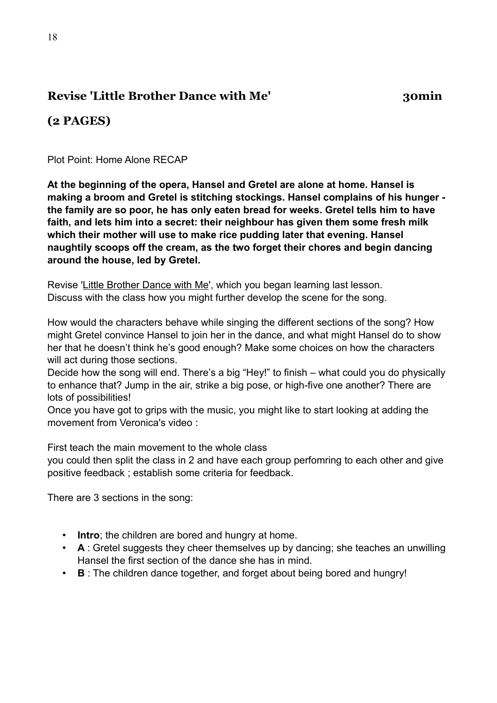# **Revise 'Little Brother Dance with Me' 30min**

# **(2 PAGES)**

Plot Point: Home Alone RECAP

**At the beginning of the opera, Hansel and Gretel are alone at home. Hansel is making a broom and Gretel is stitching stockings. Hansel complains of his hunger the family are so poor, he has only eaten bread for weeks. Gretel tells him to have faith, and lets him into a secret: their neighbour has given them some fresh milk which their mother will use to make rice pudding later that evening. Hansel naughtily scoops off the cream, as the two forget their chores and begin dancing around the house, led by Gretel.**

Revise ['Little Brother Dance with Me'](https://learning-platform.roh.org.uk/unit/learning-little-brother-dance-with-me/), which you began learning last lesson. Discuss with the class how you might further develop the scene for the song.

How would the characters behave while singing the different sections of the song? How might Gretel convince Hansel to join her in the dance, and what might Hansel do to show her that he doesn't think he's good enough? Make some choices on how the characters will act during those sections.

Decide how the song will end. There's a big "Hey!" to finish – what could you do physically to enhance that? Jump in the air, strike a big pose, or high-five one another? There are lots of possibilities!

Once you have got to grips with the music, you might like to start looking at adding the movement from Veronica's video :

First teach the main movement to the whole class

you could then split the class in 2 and have each group perfomring to each other and give positive feedback ; establish some criteria for feedback.

There are 3 sections in the song:

- **Intro**; the children are bored and hungry at home.
- **A** : Gretel suggests they cheer themselves up by dancing; she teaches an unwilling Hansel the first section of the dance she has in mind.
- **B** : The children dance together, and forget about being bored and hungry!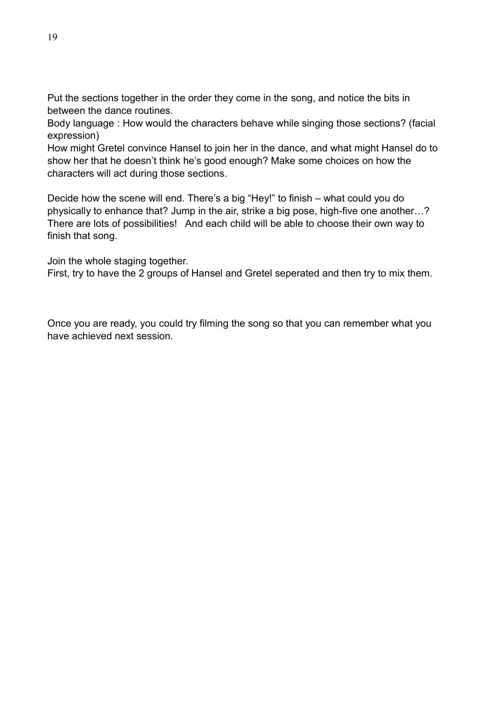Put the sections together in the order they come in the song, and notice the bits in between the dance routines.

Body language : How would the characters behave while singing those sections? (facial expression)

How might Gretel convince Hansel to join her in the dance, and what might Hansel do to show her that he doesn't think he's good enough? Make some choices on how the characters will act during those sections.

Decide how the scene will end. There's a big "Hey!" to finish – what could you do physically to enhance that? Jump in the air, strike a big pose, high-five one another…? There are lots of possibilities! And each child will be able to choose their own way to finish that song.

Join the whole staging together.

First, try to have the 2 groups of Hansel and Gretel seperated and then try to mix them.

Once you are ready, you could try filming the song so that you can remember what you have achieved next session.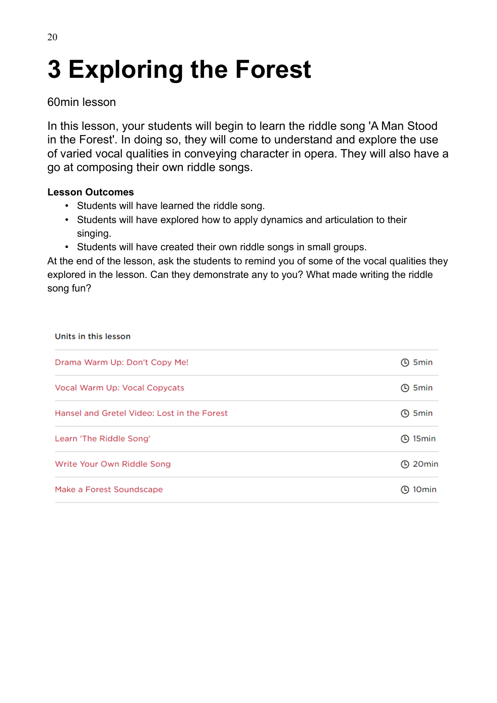# **3 Exploring the Forest**

### 60min lesson

In this lesson, your students will begin to learn the riddle song 'A Man Stood in the Forest'. In doing so, they will come to understand and explore the use of varied vocal qualities in conveying character in opera. They will also have a go at composing their own riddle songs.

#### **Lesson Outcomes**

- Students will have learned the riddle song.
- Students will have explored how to apply dynamics and articulation to their singing.
- Students will have created their own riddle songs in small groups.

At the end of the lesson, ask the students to remind you of some of the vocal qualities they explored in the lesson. Can they demonstrate any to you? What made writing the riddle song fun?

| Units in this lesson                        |                          |
|---------------------------------------------|--------------------------|
| Drama Warm Up: Don't Copy Me!               | ① 5min                   |
| Vocal Warm Up: Vocal Copycats               | ① 5min                   |
| Hansel and Gretel Video: Lost in the Forest | ① 5min                   |
| Learn 'The Riddle Song'                     | $\odot$ 15min            |
| Write Your Own Riddle Song                  | <b>4</b> 20 min          |
| Make a Forest Soundscape                    | 10 <sub>min</sub><br>(L) |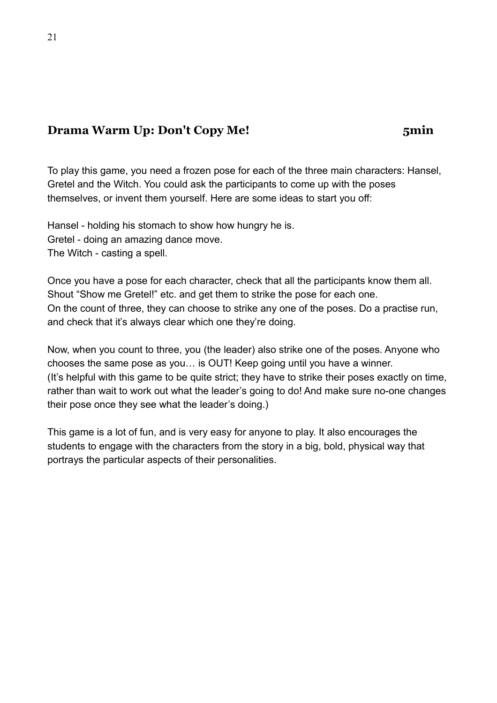# **Drama Warm Up: Don't Copy Me! 5min**

To play this game, you need a frozen pose for each of the three main characters: Hansel, Gretel and the Witch. You could ask the participants to come up with the poses themselves, or invent them yourself. Here are some ideas to start you off:

Hansel - holding his stomach to show how hungry he is. Gretel - doing an amazing dance move. The Witch - casting a spell.

Once you have a pose for each character, check that all the participants know them all. Shout "Show me Gretel!" etc. and get them to strike the pose for each one. On the count of three, they can choose to strike any one of the poses. Do a practise run, and check that it's always clear which one they're doing.

Now, when you count to three, you (the leader) also strike one of the poses. Anyone who chooses the same pose as you… is OUT! Keep going until you have a winner. (It's helpful with this game to be quite strict; they have to strike their poses exactly on time, rather than wait to work out what the leader's going to do! And make sure no-one changes their pose once they see what the leader's doing.)

This game is a lot of fun, and is very easy for anyone to play. It also encourages the students to engage with the characters from the story in a big, bold, physical way that portrays the particular aspects of their personalities.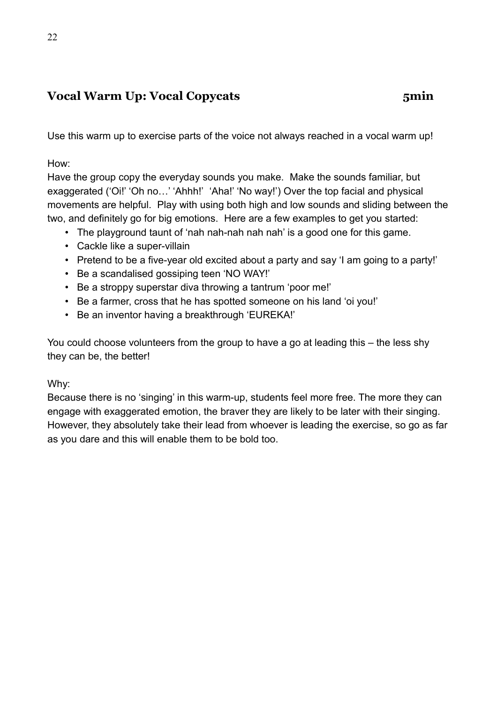# **Vocal Warm Up: Vocal Copycats 5min**

Use this warm up to exercise parts of the voice not always reached in a vocal warm up!

How:

Have the group copy the everyday sounds you make. Make the sounds familiar, but exaggerated ('Oi!' 'Oh no...' 'Ahhh!' 'Aha!' 'No way!') Over the top facial and physical movements are helpful. Play with using both high and low sounds and sliding between the two, and definitely go for big emotions. Here are a few examples to get you started:

- The playground taunt of 'nah nah-nah nah nah' is a good one for this game.
- Cackle like a super-villain
- Pretend to be a five-year old excited about a party and say 'I am going to a party!'
- Be a scandalised gossiping teen 'NO WAY!'
- Be a stroppy superstar diva throwing a tantrum 'poor me!'
- Be a farmer, cross that he has spotted someone on his land 'oi you!'
- Be an inventor having a breakthrough 'EUREKA!'

You could choose volunteers from the group to have a go at leading this – the less shy they can be, the better!

#### Why:

Because there is no 'singing' in this warm-up, students feel more free. The more they can engage with exaggerated emotion, the braver they are likely to be later with their singing. However, they absolutely take their lead from whoever is leading the exercise, so go as far as you dare and this will enable them to be bold too.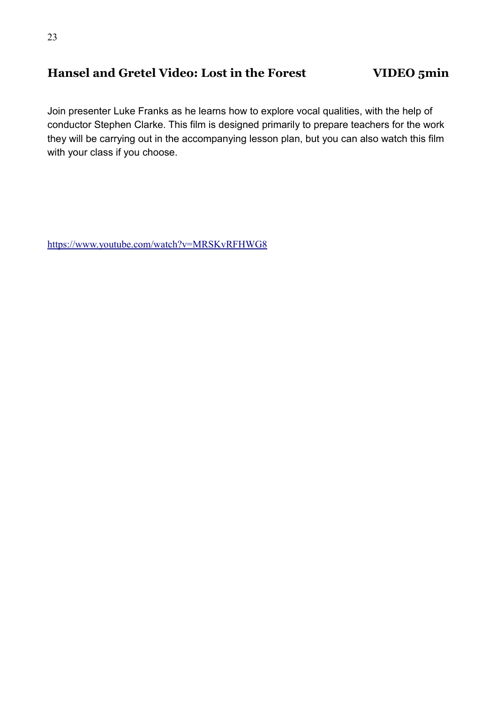# **Hansel and Gretel Video: Lost in the Forest VIDEO 5min**

Join presenter Luke Franks as he learns how to explore vocal qualities, with the help of conductor Stephen Clarke. This film is designed primarily to prepare teachers for the work they will be carrying out in the accompanying lesson plan, but you can also watch this film with your class if you choose.

<https://www.youtube.com/watch?v=MRSKvRFHWG8>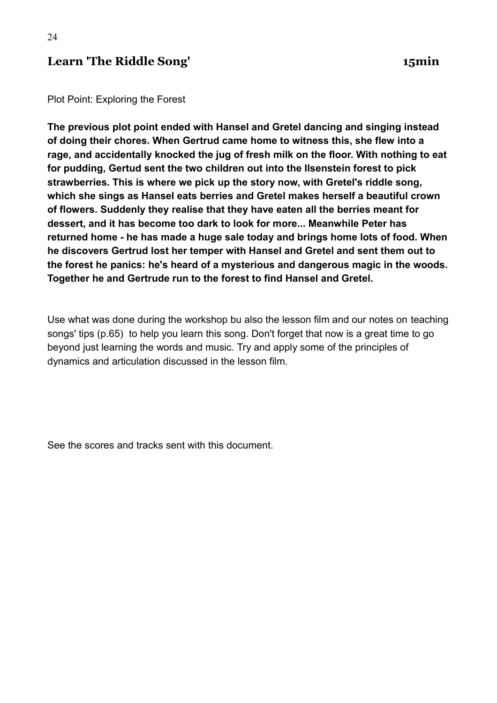### **Learn 'The Riddle Song' 15min**

Plot Point: Exploring the Forest

**The previous plot point ended with Hansel and Gretel dancing and singing instead of doing their chores. When Gertrud came home to witness this, she flew into a rage, and accidentally knocked the jug of fresh milk on the floor. With nothing to eat for pudding, Gertud sent the two children out into the Ilsenstein forest to pick strawberries. This is where we pick up the story now, with Gretel's riddle song, which she sings as Hansel eats berries and Gretel makes herself a beautiful crown of flowers. Suddenly they realise that they have eaten all the berries meant for dessert, and it has become too dark to look for more... Meanwhile Peter has returned home - he has made a huge sale today and brings home lots of food. When he discovers Gertrud lost her temper with Hansel and Gretel and sent them out to the forest he panics: he's heard of a mysterious and dangerous magic in the woods. Together he and Gertrude run to the forest to find Hansel and Gretel.**

Use what was done during the workshop bu also the lesson film and our notes on teaching songs' tips (p.65) to help you learn this song. Don't forget that now is a great time to go beyond just learning the words and music. Try and apply some of the principles of dynamics and articulation discussed in the lesson film.

See the scores and tracks sent with this document.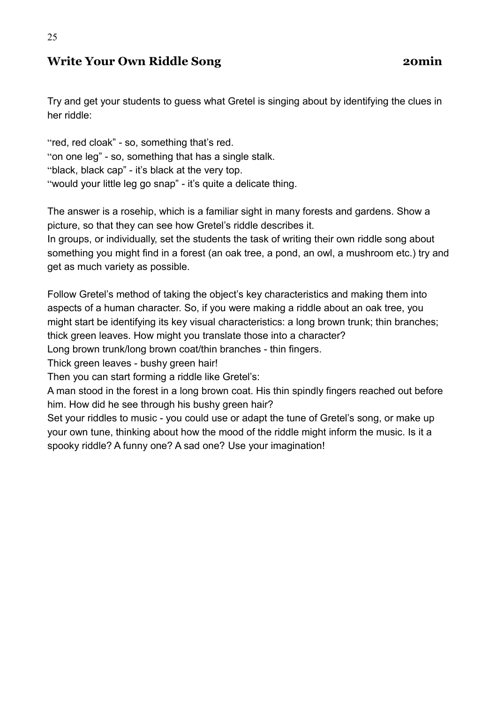# **Write Your Own Riddle Song 20min**

25

Try and get your students to guess what Gretel is singing about by identifying the clues in her riddle:

"red, red cloak" - so, something that's red. "on one leg" - so, something that has a single stalk. "black, black cap" - it's black at the very top. "would your little leg go snap" - it's quite a delicate thing.

The answer is a rosehip, which is a familiar sight in many forests and gardens. Show a picture, so that they can see how Gretel's riddle describes it.

In groups, or individually, set the students the task of writing their own riddle song about something you might find in a forest (an oak tree, a pond, an owl, a mushroom etc.) try and get as much variety as possible.

Follow Gretel's method of taking the object's key characteristics and making them into aspects of a human character. So, if you were making a riddle about an oak tree, you might start be identifying its key visual characteristics: a long brown trunk; thin branches; thick green leaves. How might you translate those into a character?

Long brown trunk/long brown coat/thin branches - thin fingers.

Thick green leaves - bushy green hair!

Then you can start forming a riddle like Gretel's:

A man stood in the forest in a long brown coat. His thin spindly fingers reached out before him. How did he see through his bushy green hair?

Set your riddles to music - you could use or adapt the tune of Gretel's song, or make up your own tune, thinking about how the mood of the riddle might inform the music. Is it a spooky riddle? A funny one? A sad one? Use your imagination!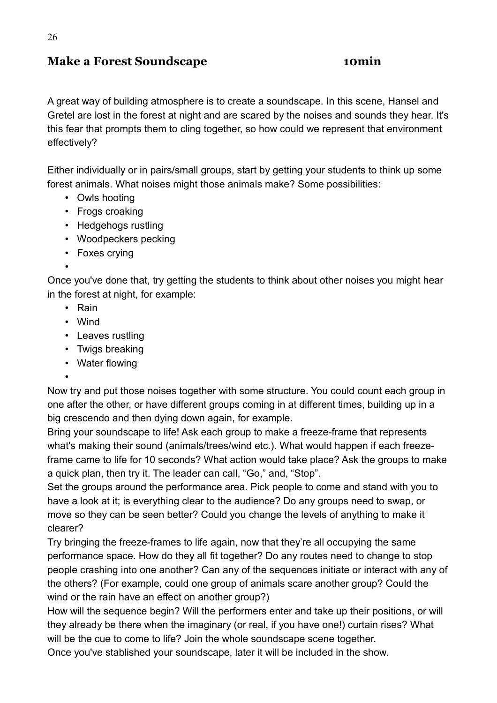### **Make a Forest Soundscape 10min**

A great way of building atmosphere is to create a soundscape. In this scene, Hansel and Gretel are lost in the forest at night and are scared by the noises and sounds they hear. It's this fear that prompts them to cling together, so how could we represent that environment effectively?

Either individually or in pairs/small groups, start by getting your students to think up some forest animals. What noises might those animals make? Some possibilities:

- Owls hooting
- Frogs croaking
- Hedgehogs rustling
- Woodpeckers pecking
- Foxes crying
- •

Once you've done that, try getting the students to think about other noises you might hear in the forest at night, for example:

- Rain
- Wind
- Leaves rustling
- Twigs breaking
- Water flowing
- •

Now try and put those noises together with some structure. You could count each group in one after the other, or have different groups coming in at different times, building up in a big crescendo and then dying down again, for example.

Bring your soundscape to life! Ask each group to make a freeze-frame that represents what's making their sound (animals/trees/wind etc.). What would happen if each freezeframe came to life for 10 seconds? What action would take place? Ask the groups to make a quick plan, then try it. The leader can call, "Go," and, "Stop".

Set the groups around the performance area. Pick people to come and stand with you to have a look at it; is everything clear to the audience? Do any groups need to swap, or move so they can be seen better? Could you change the levels of anything to make it clearer?

Try bringing the freeze-frames to life again, now that they're all occupying the same performance space. How do they all fit together? Do any routes need to change to stop people crashing into one another? Can any of the sequences initiate or interact with any of the others? (For example, could one group of animals scare another group? Could the wind or the rain have an effect on another group?)

How will the sequence begin? Will the performers enter and take up their positions, or will they already be there when the imaginary (or real, if you have one!) curtain rises? What will be the cue to come to life? Join the whole soundscape scene together.

Once you've stablished your soundscape, later it will be included in the show.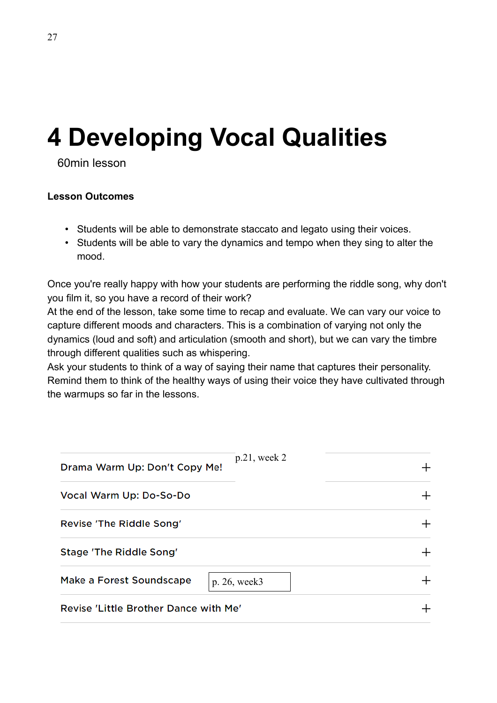# **4 Developing Vocal Qualities**

60min lesson

#### **Lesson Outcomes**

- Students will be able to demonstrate staccato and legato using their voices.
- Students will be able to vary the dynamics and tempo when they sing to alter the mood.

Once you're really happy with how your students are performing the riddle song, why don't you film it, so you have a record of their work?

At the end of the lesson, take some time to recap and evaluate. We can vary our voice to capture different moods and characters. This is a combination of varying not only the dynamics (loud and soft) and articulation (smooth and short), but we can vary the timbre through different qualities such as whispering.

Ask your students to think of a way of saying their name that captures their personality. Remind them to think of the healthy ways of using their voice they have cultivated through the warmups so far in the lessons.

| Drama Warm Up: Don't Copy Me!         | $p.21$ , week 2 |  |
|---------------------------------------|-----------------|--|
| Vocal Warm Up: Do-So-Do               |                 |  |
| Revise 'The Riddle Song'              |                 |  |
| Stage 'The Riddle Song'               |                 |  |
| Make a Forest Soundscape              | p. 26, week3    |  |
| Revise 'Little Brother Dance with Me' |                 |  |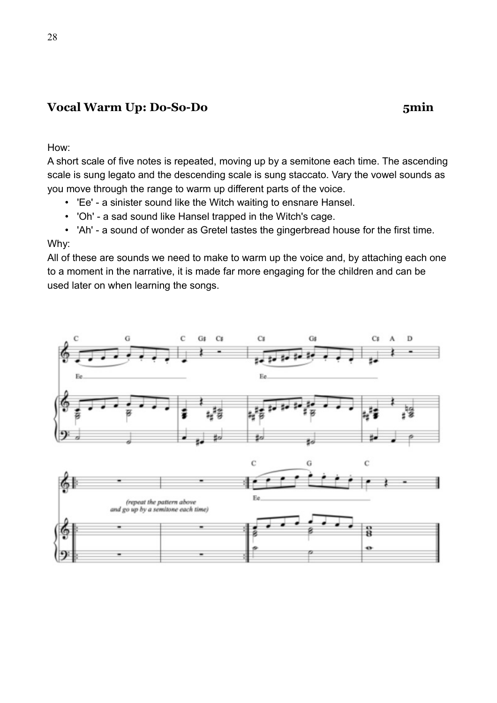### **Vocal Warm Up: Do-So-Do 5min**

How:

A short scale of five notes is repeated, moving up by a semitone each time. The ascending scale is sung legato and the descending scale is sung staccato. Vary the vowel sounds as you move through the range to warm up different parts of the voice.

- 'Ee' a sinister sound like the Witch waiting to ensnare Hansel.
- 'Oh' a sad sound like Hansel trapped in the Witch's cage.

• 'Ah' - a sound of wonder as Gretel tastes the gingerbread house for the first time. Why:

All of these are sounds we need to make to warm up the voice and, by attaching each one to a moment in the narrative, it is made far more engaging for the children and can be used later on when learning the songs.

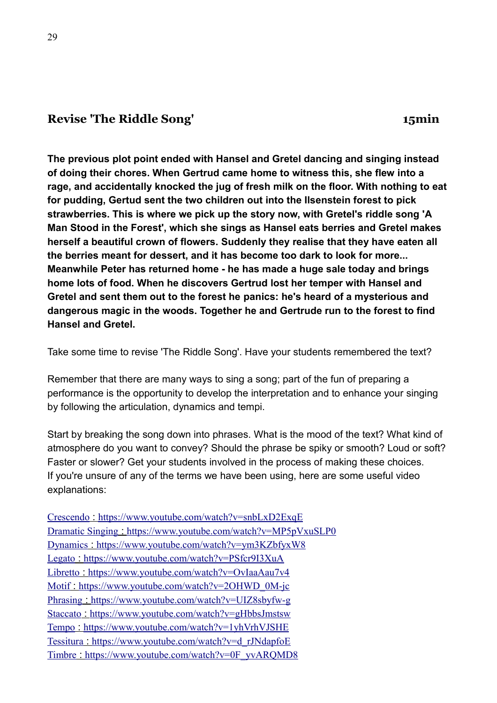### **Revise 'The Riddle Song' 15min**

**The previous plot point ended with Hansel and Gretel dancing and singing instead of doing their chores. When Gertrud came home to witness this, she flew into a rage, and accidentally knocked the jug of fresh milk on the floor. With nothing to eat for pudding, Gertud sent the two children out into the Ilsenstein forest to pick strawberries. This is where we pick up the story now, with Gretel's riddle song 'A Man Stood in the Forest', which she sings as Hansel eats berries and Gretel makes herself a beautiful crown of flowers. Suddenly they realise that they have eaten all the berries meant for dessert, and it has become too dark to look for more... Meanwhile Peter has returned home - he has made a huge sale today and brings home lots of food. When he discovers Gertrud lost her temper with Hansel and Gretel and sent them out to the forest he panics: he's heard of a mysterious and dangerous magic in the woods. Together he and Gertrude run to the forest to find Hansel and Gretel.**

Take some time to revise 'The Riddle Song'. Have your students remembered the text?

Remember that there are many ways to sing a song; part of the fun of preparing a performance is the opportunity to develop the interpretation and to enhance your singing by following the articulation, dynamics and tempi.

Start by breaking the song down into phrases. What is the mood of the text? What kind of atmosphere do you want to convey? Should the phrase be spiky or smooth? Loud or soft? Faster or slower? Get your students involved in the process of making these choices. If you're unsure of any of the terms we have been using, here are some useful video explanations:

| Crescendo: https://www.youtube.com/watch?v=snbLxD2ExqE        |
|---------------------------------------------------------------|
| Dramatic Singing: https://www.youtube.com/watch?v=MP5pVxuSLP0 |
| Dynamics: https://www.youtube.com/watch?v=ym3KZbfyxW8         |
| Legato: https://www.youtube.com/watch?v=PSfcr9I3XuA           |
| Libretto: https://www.youtube.com/watch?v=OvIaaAau7v4         |
| Motif: https://www.youtube.com/watch?v=2OHWD 0M-jc            |
| Phrasing: https://www.youtube.com/watch?v=UIZ8sbyfw-g         |
| Staccato: https://www.youtube.com/watch?v=gHbbsJmstsw         |
| Tempo : https://www.youtube.com/watch?v=1yhVrhVJSHE           |
| Tessitura : https://www.youtube.com/watch?v=d_rJNdapfoE       |
| Timbre: https://www.youtube.com/watch?v=0F yvARQMD8           |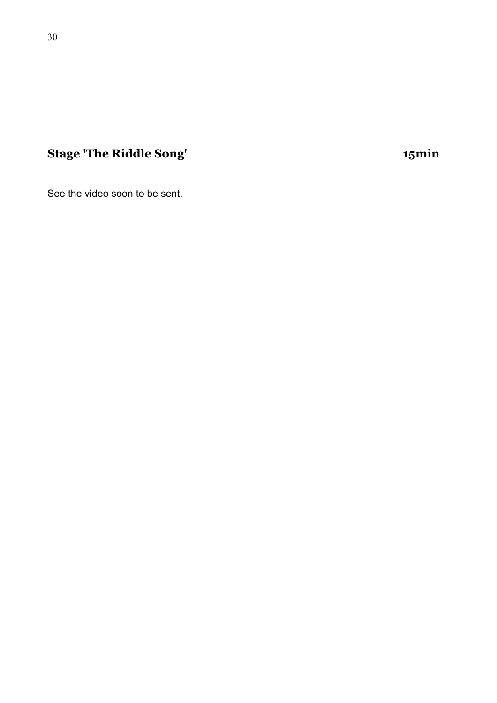# **Stage 'The Riddle Song' 15min**

See the video soon to be sent.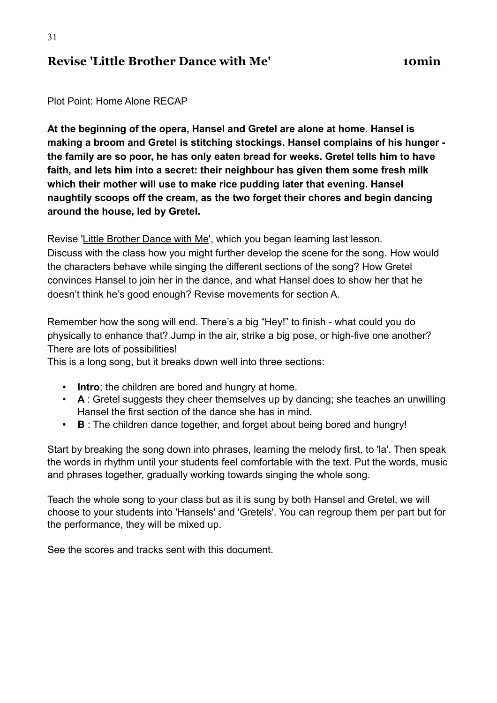#### **Revise 'Little Brother Dance with Me' 10min**

Plot Point: Home Alone RECAP

**At the beginning of the opera, Hansel and Gretel are alone at home. Hansel is making a broom and Gretel is stitching stockings. Hansel complains of his hunger the family are so poor, he has only eaten bread for weeks. Gretel tells him to have faith, and lets him into a secret: their neighbour has given them some fresh milk which their mother will use to make rice pudding later that evening. Hansel naughtily scoops off the cream, as the two forget their chores and begin dancing around the house, led by Gretel.**

Revise ['Little Brother Dance with Me'](https://learning-platform.roh.org.uk/unit/learning-little-brother-dance-with-me/), which you began learning last lesson. Discuss with the class how you might further develop the scene for the song. How would the characters behave while singing the different sections of the song? How Gretel convinces Hansel to join her in the dance, and what Hansel does to show her that he doesn't think he's good enough? Revise movements for section A.

Remember how the song will end. There's a big "Hey!" to finish - what could you do physically to enhance that? Jump in the air, strike a big pose, or high-five one another? There are lots of possibilities!

This is a long song, but it breaks down well into three sections:

- **Intro**; the children are bored and hungry at home.
- **A** : Gretel suggests they cheer themselves up by dancing; she teaches an unwilling Hansel the first section of the dance she has in mind.
- **B** : The children dance together, and forget about being bored and hungry!

Start by breaking the song down into phrases, learning the melody first, to 'la'. Then speak the words in rhythm until your students feel comfortable with the text. Put the words, music and phrases together, gradually working towards singing the whole song.

Teach the whole song to your class but as it is sung by both Hansel and Gretel, we will choose to your students into 'Hansels' and 'Gretels'. You can regroup them per part but for the performance, they will be mixed up.

See the scores and tracks sent with this document.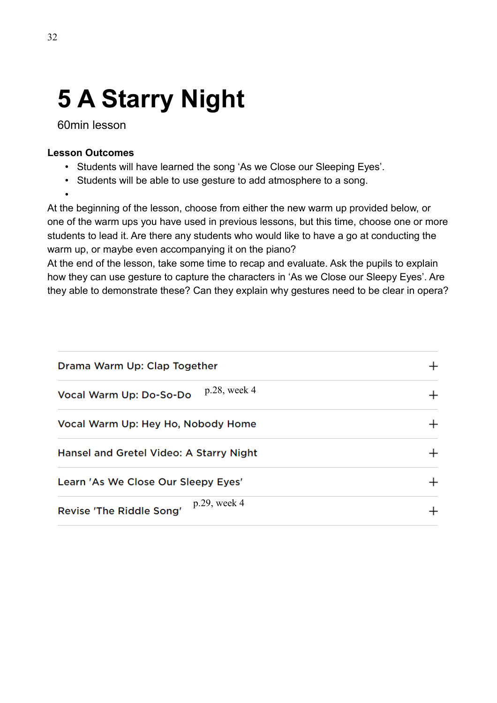# **5 A Starry Night**

60min lesson

#### **Lesson Outcomes**

- Students will have learned the song 'As we Close our Sleeping Eyes'.
- Students will be able to use gesture to add atmosphere to a song.

•

At the beginning of the lesson, choose from either the new warm up provided below, or one of the warm ups you have used in previous lessons, but this time, choose one or more students to lead it. Are there any students who would like to have a go at conducting the warm up, or maybe even accompanying it on the piano?

At the end of the lesson, take some time to recap and evaluate. Ask the pupils to explain how they can use gesture to capture the characters in 'As we Close our Sleepy Eyes'. Are they able to demonstrate these? Can they explain why gestures need to be clear in opera?

| Drama Warm Up: Clap Together                |  |
|---------------------------------------------|--|
| p.28, week 4<br>Vocal Warm Up: Do-So-Do     |  |
| Vocal Warm Up: Hey Ho, Nobody Home          |  |
| Hansel and Gretel Video: A Starry Night     |  |
| Learn 'As We Close Our Sleepy Eyes'         |  |
| $p.29$ , week 4<br>Revise 'The Riddle Song' |  |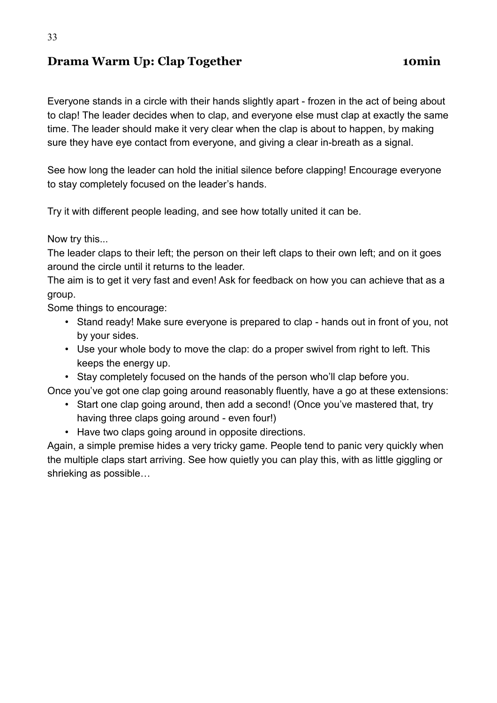# **Drama Warm Up: Clap Together <b>10min**

Everyone stands in a circle with their hands slightly apart - frozen in the act of being about to clap! The leader decides when to clap, and everyone else must clap at exactly the same time. The leader should make it very clear when the clap is about to happen, by making sure they have eye contact from everyone, and giving a clear in-breath as a signal.

See how long the leader can hold the initial silence before clapping! Encourage everyone to stay completely focused on the leader's hands.

Try it with different people leading, and see how totally united it can be.

Now try this...

The leader claps to their left; the person on their left claps to their own left; and on it goes around the circle until it returns to the leader.

The aim is to get it very fast and even! Ask for feedback on how you can achieve that as a group.

Some things to encourage:

- Stand ready! Make sure everyone is prepared to clap hands out in front of you, not by your sides.
- Use your whole body to move the clap: do a proper swivel from right to left. This keeps the energy up.
- Stay completely focused on the hands of the person who'll clap before you.

Once you've got one clap going around reasonably fluently, have a go at these extensions:

- Start one clap going around, then add a second! (Once you've mastered that, try having three claps going around - even four!)
- Have two claps going around in opposite directions.

Again, a simple premise hides a very tricky game. People tend to panic very quickly when the multiple claps start arriving. See how quietly you can play this, with as little giggling or shrieking as possible…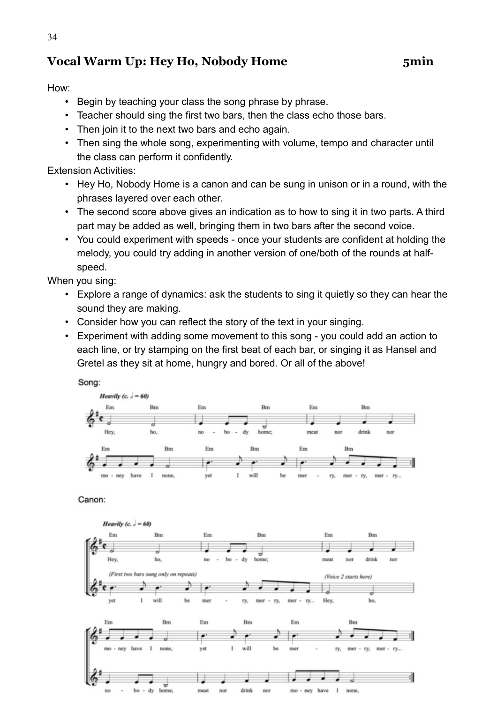# **Vocal Warm Up: Hey Ho, Nobody Home 5min**

#### How:

- Begin by teaching your class the song phrase by phrase.
- Teacher should sing the first two bars, then the class echo those bars.
- Then join it to the next two bars and echo again.
- Then sing the whole song, experimenting with volume, tempo and character until the class can perform it confidently.

Extension Activities:

- Hey Ho, Nobody Home is a canon and can be sung in unison or in a round, with the phrases layered over each other.
- The second score above gives an indication as to how to sing it in two parts. A third part may be added as well, bringing them in two bars after the second voice.
- You could experiment with speeds once your students are confident at holding the melody, you could try adding in another version of one/both of the rounds at halfspeed.

When you sing:

- Explore a range of dynamics: ask the students to sing it quietly so they can hear the sound they are making.
- Consider how you can reflect the story of the text in your singing.
- Experiment with adding some movement to this song you could add an action to each line, or try stamping on the first beat of each bar, or singing it as Hansel and Gretel as they sit at home, hungry and bored. Or all of the above!

Song:



Canon:

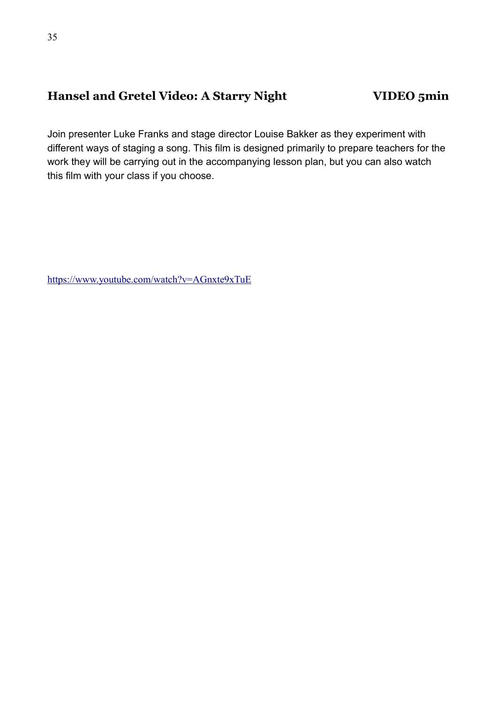# **Hansel and Gretel Video: A Starry Night VIDEO 5min**

Join presenter Luke Franks and stage director Louise Bakker as they experiment with different ways of staging a song. This film is designed primarily to prepare teachers for the work they will be carrying out in the accompanying lesson plan, but you can also watch this film with your class if you choose.

<https://www.youtube.com/watch?v=AGnxte9xTuE>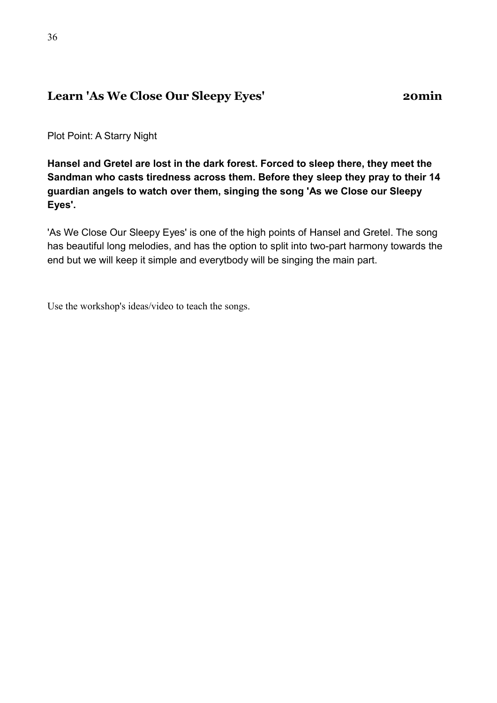## **Learn 'As We Close Our Sleepy Eyes' 20min**

Plot Point: A Starry Night

**Hansel and Gretel are lost in the dark forest. Forced to sleep there, they meet the Sandman who casts tiredness across them. Before they sleep they pray to their 14 guardian angels to watch over them, singing the song 'As we Close our Sleepy Eyes'.**

'As We Close Our Sleepy Eyes' is one of the high points of Hansel and Gretel. The song has beautiful long melodies, and has the option to split into two-part harmony towards the end but we will keep it simple and everytbody will be singing the main part.

Use the workshop's ideas/video to teach the songs.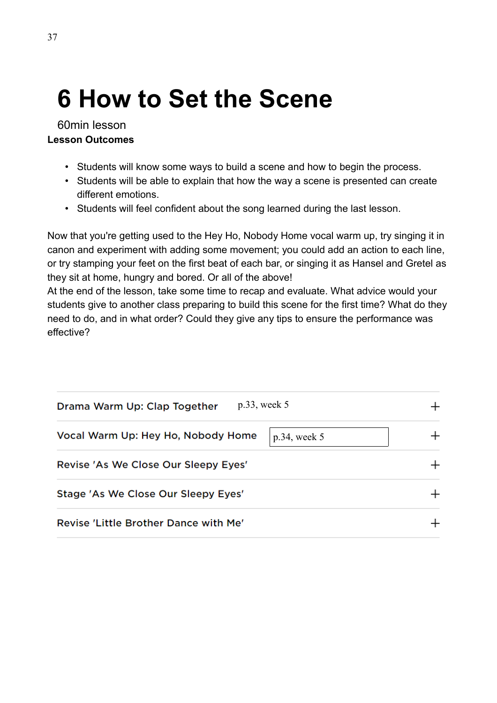# **6 How to Set the Scene**

60min lesson **Lesson Outcomes**

- Students will know some ways to build a scene and how to begin the process.
- Students will be able to explain that how the way a scene is presented can create different emotions.
- Students will feel confident about the song learned during the last lesson.

Now that you're getting used to the Hey Ho, Nobody Home vocal warm up, try singing it in canon and experiment with adding some movement; you could add an action to each line, or try stamping your feet on the first beat of each bar, or singing it as Hansel and Gretel as they sit at home, hungry and bored. Or all of the above!

At the end of the lesson, take some time to recap and evaluate. What advice would your students give to another class preparing to build this scene for the first time? What do they need to do, and in what order? Could they give any tips to ensure the performance was effective?

| $p.33$ , week 5<br>Drama Warm Up: Clap Together       |  |
|-------------------------------------------------------|--|
| Vocal Warm Up: Hey Ho, Nobody Home<br>$p.34$ , week 5 |  |
| Revise 'As We Close Our Sleepy Eyes'                  |  |
| Stage 'As We Close Our Sleepy Eyes'                   |  |
| Revise 'Little Brother Dance with Me'                 |  |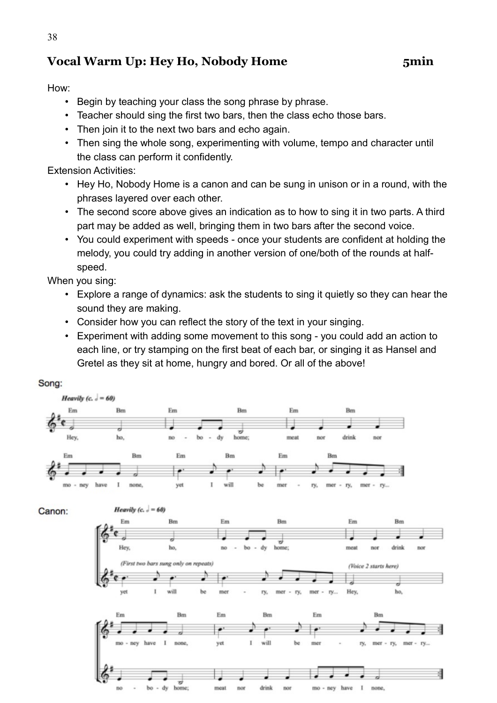# **Vocal Warm Up: Hey Ho, Nobody Home 5min**

#### How:

- Begin by teaching your class the song phrase by phrase.
- Teacher should sing the first two bars, then the class echo those bars.
- Then join it to the next two bars and echo again.
- Then sing the whole song, experimenting with volume, tempo and character until the class can perform it confidently.

Extension Activities:

- Hey Ho, Nobody Home is a canon and can be sung in unison or in a round, with the phrases layered over each other.
- The second score above gives an indication as to how to sing it in two parts. A third part may be added as well, bringing them in two bars after the second voice.
- You could experiment with speeds once your students are confident at holding the melody, you could try adding in another version of one/both of the rounds at halfspeed.

When you sing:

- Explore a range of dynamics: ask the students to sing it quietly so they can hear the sound they are making.
- Consider how you can reflect the story of the text in your singing.
- Experiment with adding some movement to this song you could add an action to each line, or try stamping on the first beat of each bar, or singing it as Hansel and Gretel as they sit at home, hungry and bored. Or all of the above!

#### Song:

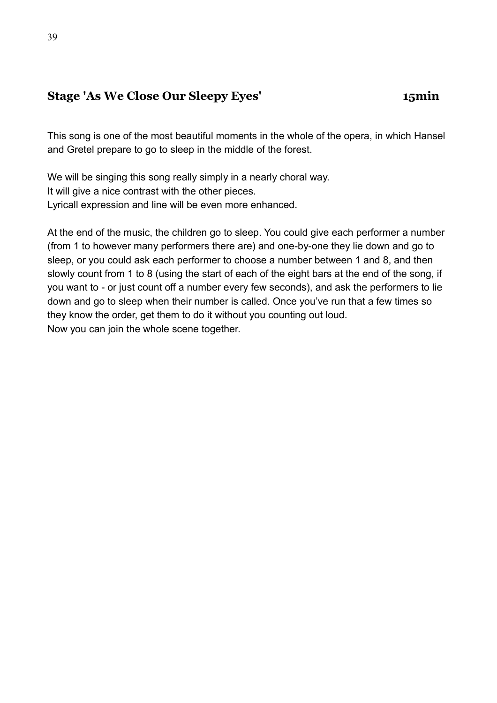## **Stage 'As We Close Our Sleepy Eyes' 15min**

This song is one of the most beautiful moments in the whole of the opera, in which Hansel and Gretel prepare to go to sleep in the middle of the forest.

We will be singing this song really simply in a nearly choral way. It will give a nice contrast with the other pieces. Lyricall expression and line will be even more enhanced.

At the end of the music, the children go to sleep. You could give each performer a number (from 1 to however many performers there are) and one-by-one they lie down and go to sleep, or you could ask each performer to choose a number between 1 and 8, and then slowly count from 1 to 8 (using the start of each of the eight bars at the end of the song, if you want to - or just count off a number every few seconds), and ask the performers to lie down and go to sleep when their number is called. Once you've run that a few times so they know the order, get them to do it without you counting out loud. Now you can join the whole scene together.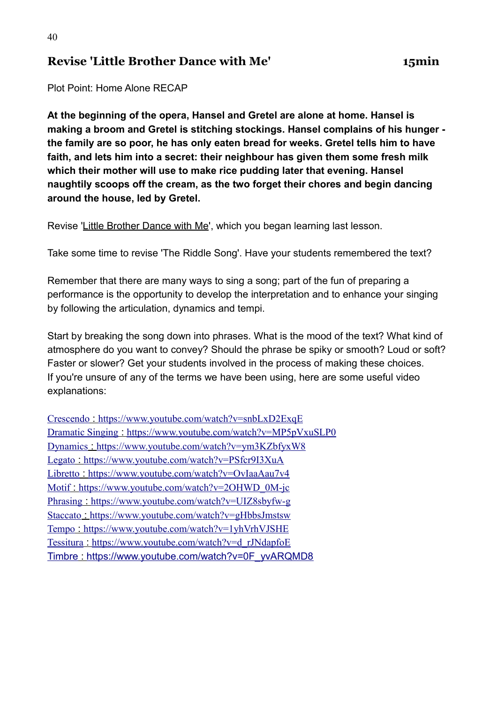#### **Revise 'Little Brother Dance with Me' 15min**

Plot Point: Home Alone RECAP

**At the beginning of the opera, Hansel and Gretel are alone at home. Hansel is making a broom and Gretel is stitching stockings. Hansel complains of his hunger the family are so poor, he has only eaten bread for weeks. Gretel tells him to have faith, and lets him into a secret: their neighbour has given them some fresh milk which their mother will use to make rice pudding later that evening. Hansel naughtily scoops off the cream, as the two forget their chores and begin dancing around the house, led by Gretel.**

Revise ['Little Brother Dance with Me'](https://learning-platform.roh.org.uk/unit/learning-little-brother-dance-with-me/), which you began learning last lesson.

Take some time to revise 'The Riddle Song'. Have your students remembered the text?

Remember that there are many ways to sing a song; part of the fun of preparing a performance is the opportunity to develop the interpretation and to enhance your singing by following the articulation, dynamics and tempi.

Start by breaking the song down into phrases. What is the mood of the text? What kind of atmosphere do you want to convey? Should the phrase be spiky or smooth? Loud or soft? Faster or slower? Get your students involved in the process of making these choices. If you're unsure of any of the terms we have been using, here are some useful video explanations:

| Crescendo: https://www.youtube.com/watch?v=snbLxD2ExqE        |
|---------------------------------------------------------------|
| Dramatic Singing: https://www.youtube.com/watch?v=MP5pVxuSLP0 |
| Dynamics: https://www.youtube.com/watch?v=ym3KZbfyxW8         |
| Legato: https://www.youtube.com/watch?v=PSfcr9I3XuA           |
| Libretto: https://www.youtube.com/watch?v=OvIaaAau7v4         |
| Motif https://www.youtube.com/watch?v=2OHWD 0M-jc             |
| Phrasing: https://www.youtube.com/watch?v=UIZ8sbyfw-g         |
| Staccato: https://www.youtube.com/watch?v=gHbbsJmstsw         |
| Tempo: https://www.youtube.com/watch?v=1yhVrhVJSHE            |
| Tessitura : https://www.youtube.com/watch?v=d_rJNdapfoE       |
| Timbre: https://www.youtube.com/watch?v=0F_yvARQMD8           |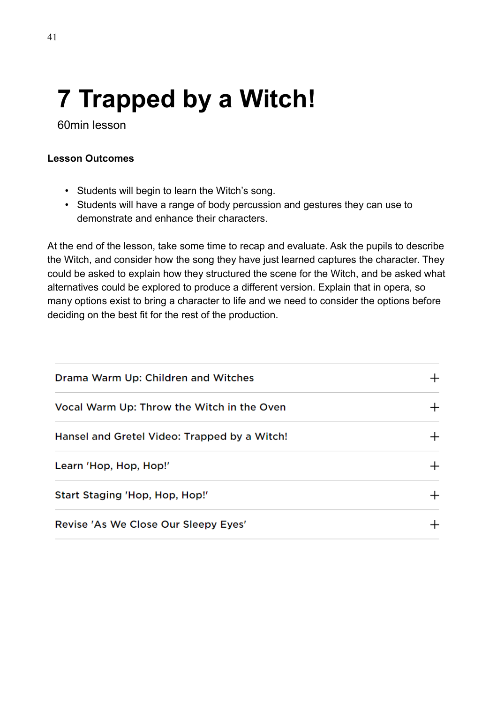# **7 Trapped by a Witch!**

60min lesson

#### **Lesson Outcomes**

- Students will begin to learn the Witch's song.
- Students will have a range of body percussion and gestures they can use to demonstrate and enhance their characters.

At the end of the lesson, take some time to recap and evaluate. Ask the pupils to describe the Witch, and consider how the song they have just learned captures the character. They could be asked to explain how they structured the scene for the Witch, and be asked what alternatives could be explored to produce a different version. Explain that in opera, so many options exist to bring a character to life and we need to consider the options before deciding on the best fit for the rest of the production.

| Drama Warm Up: Children and Witches          |        |
|----------------------------------------------|--------|
| Vocal Warm Up: Throw the Witch in the Oven   |        |
| Hansel and Gretel Video: Trapped by a Witch! |        |
| Learn 'Hop, Hop, Hop!'                       | $\pm$  |
| Start Staging 'Hop, Hop, Hop!'               | $\! +$ |
| Revise 'As We Close Our Sleepy Eyes'         |        |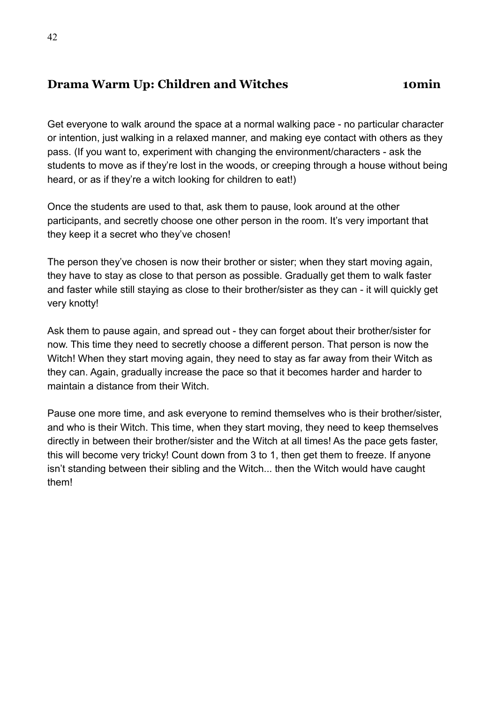# **Drama Warm Up: Children and Witches <b>10min**

Get everyone to walk around the space at a normal walking pace - no particular character or intention, just walking in a relaxed manner, and making eye contact with others as they pass. (If you want to, experiment with changing the environment/characters - ask the students to move as if they're lost in the woods, or creeping through a house without being heard, or as if they're a witch looking for children to eat!)

Once the students are used to that, ask them to pause, look around at the other participants, and secretly choose one other person in the room. It's very important that they keep it a secret who they've chosen!

The person they've chosen is now their brother or sister; when they start moving again, they have to stay as close to that person as possible. Gradually get them to walk faster and faster while still staying as close to their brother/sister as they can - it will quickly get very knotty!

Ask them to pause again, and spread out - they can forget about their brother/sister for now. This time they need to secretly choose a different person. That person is now the Witch! When they start moving again, they need to stay as far away from their Witch as they can. Again, gradually increase the pace so that it becomes harder and harder to maintain a distance from their Witch.

Pause one more time, and ask everyone to remind themselves who is their brother/sister, and who is their Witch. This time, when they start moving, they need to keep themselves directly in between their brother/sister and the Witch at all times! As the pace gets faster, this will become very tricky! Count down from 3 to 1, then get them to freeze. If anyone isn't standing between their sibling and the Witch... then the Witch would have caught them!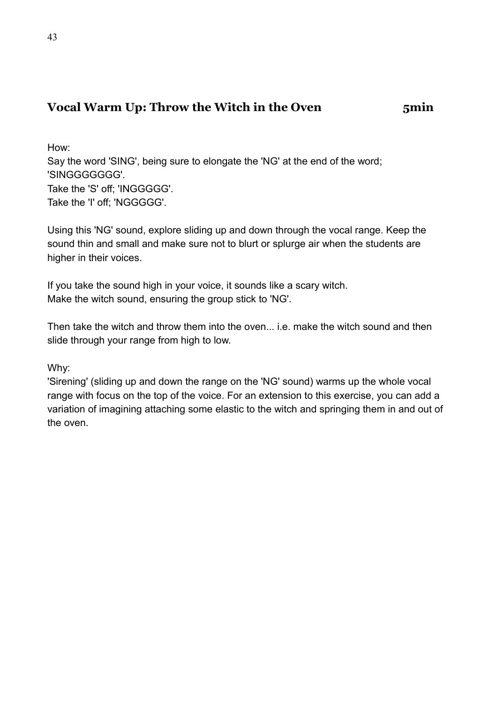## **Vocal Warm Up: Throw the Witch in the Oven 5min**

How: Say the word 'SING', being sure to elongate the 'NG' at the end of the word; 'SINGGGGGGG'. Take the 'S' off; 'INGGGGG'. Take the 'I' off; 'NGGGGG'.

Using this 'NG' sound, explore sliding up and down through the vocal range. Keep the sound thin and small and make sure not to blurt or splurge air when the students are higher in their voices.

If you take the sound high in your voice, it sounds like a scary witch. Make the witch sound, ensuring the group stick to 'NG'.

Then take the witch and throw them into the oven... i.e. make the witch sound and then slide through your range from high to low.

Why:

'Sirening' (sliding up and down the range on the 'NG' sound) warms up the whole vocal range with focus on the top of the voice. For an extension to this exercise, you can add a variation of imagining attaching some elastic to the witch and springing them in and out of the oven.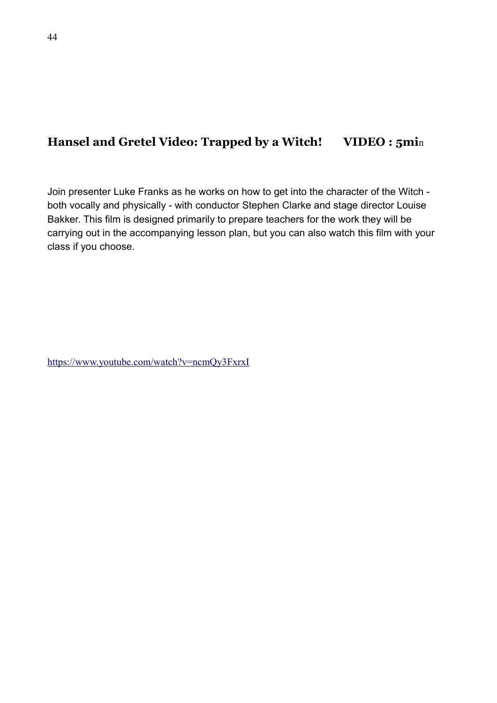## **Hansel and Gretel Video: Trapped by a Witch! VIDEO : 5mi**n

Join presenter Luke Franks as he works on how to get into the character of the Witch both vocally and physically - with conductor Stephen Clarke and stage director Louise Bakker. This film is designed primarily to prepare teachers for the work they will be carrying out in the accompanying lesson plan, but you can also watch this film with your class if you choose.

<https://www.youtube.com/watch?v=ncmQy3FxrxI>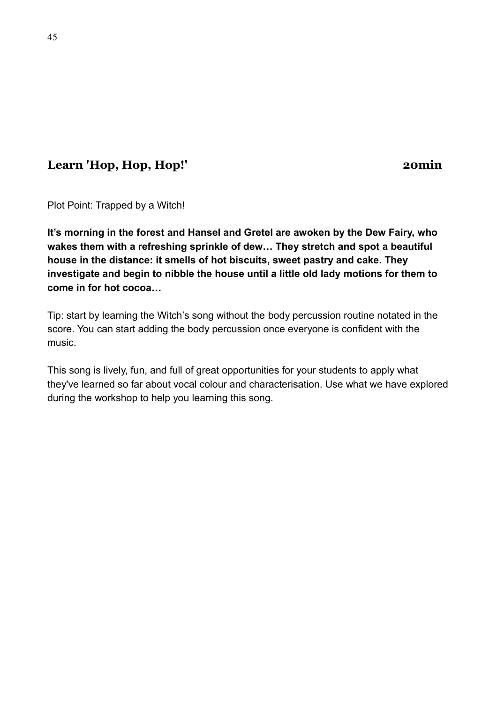# **Learn 'Hop, Hop, Hop!' 20min**

Plot Point: Trapped by a Witch!

**It's morning in the forest and Hansel and Gretel are awoken by the Dew Fairy, who wakes them with a refreshing sprinkle of dew… They stretch and spot a beautiful house in the distance: it smells of hot biscuits, sweet pastry and cake. They investigate and begin to nibble the house until a little old lady motions for them to come in for hot cocoa…**

Tip: start by learning the Witch's song without the body percussion routine notated in the score. You can start adding the body percussion once everyone is confident with the music.

This song is lively, fun, and full of great opportunities for your students to apply what they've learned so far about vocal colour and characterisation. Use what we have explored during the workshop to help you learning this song.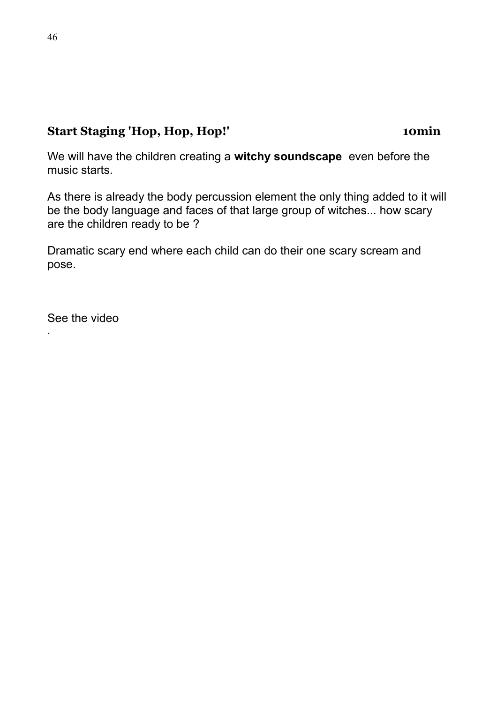# **Start Staging 'Hop, Hop, Hop!' 10min**

We will have the children creating a **witchy soundscape** even before the music starts.

As there is already the body percussion element the only thing added to it will be the body language and faces of that large group of witches... how scary are the children ready to be ?

Dramatic scary end where each child can do their one scary scream and pose.

See the video

.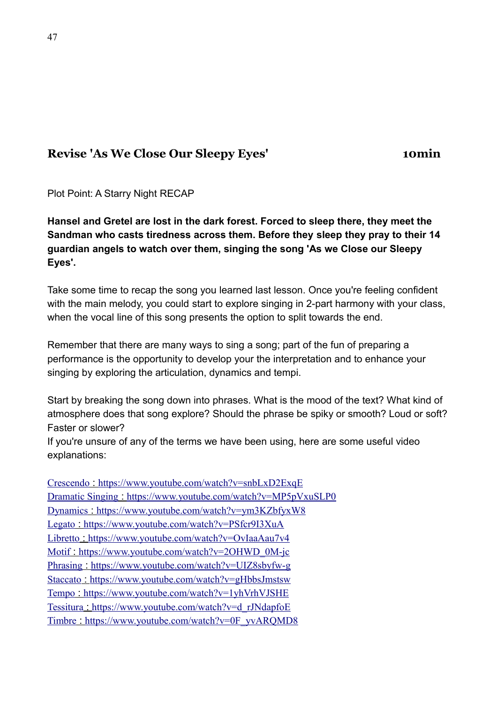# **Revise 'As We Close Our Sleepy Eyes' 10min**

Plot Point: A Starry Night RECAP

**Hansel and Gretel are lost in the dark forest. Forced to sleep there, they meet the Sandman who casts tiredness across them. Before they sleep they pray to their 14 guardian angels to watch over them, singing the song 'As we Close our Sleepy Eyes'.**

Take some time to recap the song you learned last lesson. Once you're feeling confident with the main melody, you could start to explore singing in 2-part harmony with your class, when the vocal line of this song presents the option to split towards the end.

Remember that there are many ways to sing a song; part of the fun of preparing a performance is the opportunity to develop your the interpretation and to enhance your singing by exploring the articulation, dynamics and tempi.

Start by breaking the song down into phrases. What is the mood of the text? What kind of atmosphere does that song explore? Should the phrase be spiky or smooth? Loud or soft? Faster or slower?

If you're unsure of any of the terms we have been using, here are some useful video explanations:

 [Crescendo](https://youtu.be/snbLxD2ExqE) :<https://www.youtube.com/watch?v=snbLxD2ExqE> Dramatic Singing : <https://www.youtube.com/watch?v=MP5pVxuSLP0>  [Dynamics](https://youtu.be/ym3KZbfyxW8) :<https://www.youtube.com/watch?v=ym3KZbfyxW8> Legato : <https://www.youtube.com/watch?v=PSfcr9I3XuA>  [Libretto](https://youtu.be/OvIaaAau7v4) :<https://www.youtube.com/watch?v=OvIaaAau7v4> Motif: [https://www.youtube.com/watch?v=2OHWD\\_0M-jc](https://www.youtube.com/watch?v=2OHWD_0M-jc)  [Phrasing](https://youtu.be/UIZ8sbyfw-g) :<https://www.youtube.com/watch?v=UIZ8sbyfw-g> Staccato: <https://www.youtube.com/watch?v=gHbbsJmstsw> Tempo : <https://www.youtube.com/watch?v=1yhVrhVJSHE> Tessitura : [https://www.youtube.com/watch?v=d\\_rJNdapfoE](https://www.youtube.com/watch?v=d_rJNdapfoE) Timbre : [https://www.youtube.com/watch?v=0F\\_yvARQMD8](https://www.youtube.com/watch?v=0F_yvARQMD8)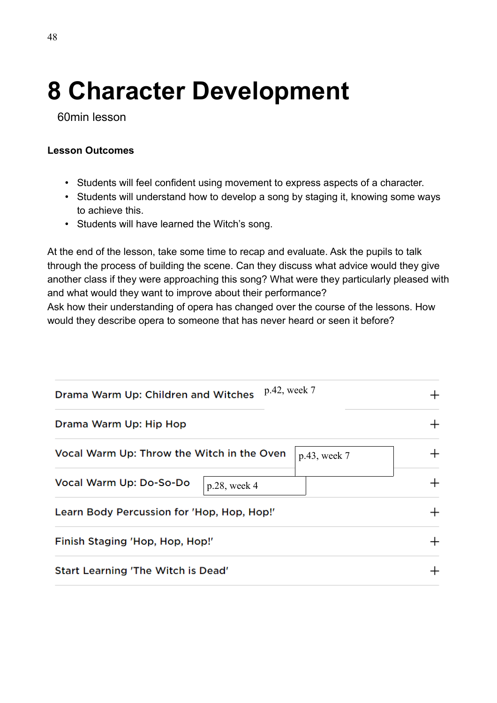# **8 Character Development**

60min lesson

#### **Lesson Outcomes**

- Students will feel confident using movement to express aspects of a character.
- Students will understand how to develop a song by staging it, knowing some ways to achieve this.
- Students will have learned the Witch's song.

At the end of the lesson, take some time to recap and evaluate. Ask the pupils to talk through the process of building the scene. Can they discuss what advice would they give another class if they were approaching this song? What were they particularly pleased with and what would they want to improve about their performance?

Ask how their understanding of opera has changed over the course of the lessons. How would they describe opera to someone that has never heard or seen it before?

| p.42, week 7<br>Drama Warm Up: Children and Witches        |        |
|------------------------------------------------------------|--------|
| Drama Warm Up: Hip Hop                                     | $^{+}$ |
| Vocal Warm Up: Throw the Witch in the Oven<br>p.43, week 7 |        |
| Vocal Warm Up: Do-So-Do<br>$p.28$ , week 4                 | $\pm$  |
| Learn Body Percussion for 'Hop, Hop, Hop!'                 | $\pm$  |
| Finish Staging 'Hop, Hop, Hop!'                            |        |
| Start Learning 'The Witch is Dead'                         |        |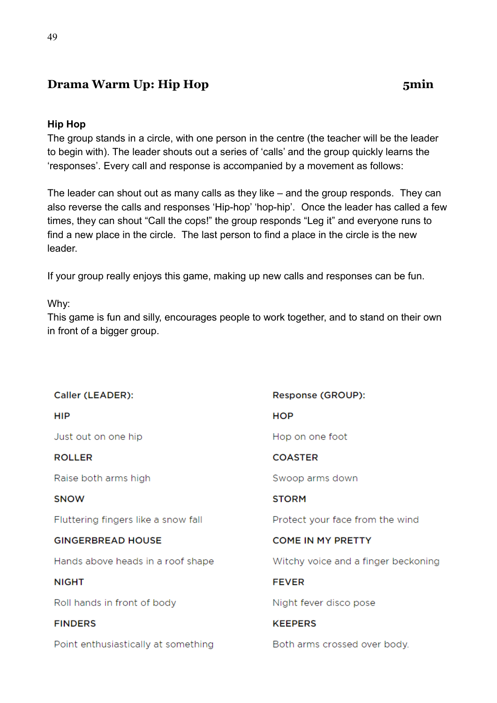# **Drama Warm Up: Hip Hop** 5min

#### **Hip Hop**

The group stands in a circle, with one person in the centre (the teacher will be the leader to begin with). The leader shouts out a series of 'calls' and the group quickly learns the 'responses'. Every call and response is accompanied by a movement as follows:

The leader can shout out as many calls as they like – and the group responds. They can also reverse the calls and responses 'Hip-hop' 'hop-hip'. Once the leader has called a few times, they can shout "Call the cops!" the group responds "Leg it" and everyone runs to find a new place in the circle. The last person to find a place in the circle is the new leader.

If your group really enjoys this game, making up new calls and responses can be fun.

#### Why:

This game is fun and silly, encourages people to work together, and to stand on their own in front of a bigger group.

| Caller (LEADER):                    | Response (GROUP):                   |
|-------------------------------------|-------------------------------------|
| <b>HIP</b>                          | HOP                                 |
| Just out on one hip                 | Hop on one foot                     |
| <b>ROLLER</b>                       | <b>COASTER</b>                      |
| Raise both arms high                | Swoop arms down                     |
| <b>SNOW</b>                         | <b>STORM</b>                        |
| Fluttering fingers like a snow fall | Protect your face from the wind     |
| <b>GINGERBREAD HOUSE</b>            | <b>COME IN MY PRETTY</b>            |
| Hands above heads in a roof shape   | Witchy voice and a finger beckoning |
| <b>NIGHT</b>                        | <b>FEVER</b>                        |
| Roll hands in front of body         | Night fever disco pose              |
| <b>FINDERS</b>                      | <b>KEEPERS</b>                      |
| Point enthusiastically at something | Both arms crossed over body.        |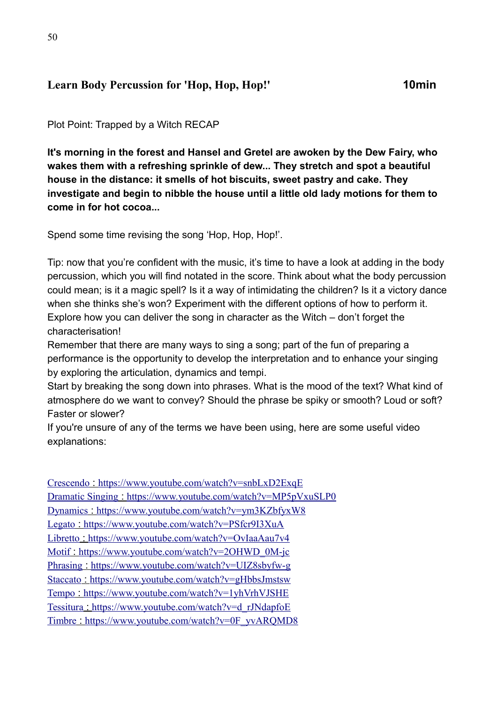# **Learn Body Percussion for 'Hop, Hop, Hop!' 10min**

Plot Point: Trapped by a Witch RECAP

**It's morning in the forest and Hansel and Gretel are awoken by the Dew Fairy, who wakes them with a refreshing sprinkle of dew... They stretch and spot a beautiful house in the distance: it smells of hot biscuits, sweet pastry and cake. They investigate and begin to nibble the house until a little old lady motions for them to come in for hot cocoa...**

Spend some time revising the song 'Hop, Hop, Hop!'.

Tip: now that you're confident with the music, it's time to have a look at adding in the body percussion, which you will find notated in the score. Think about what the body percussion could mean; is it a magic spell? Is it a way of intimidating the children? Is it a victory dance when she thinks she's won? Experiment with the different options of how to perform it. Explore how you can deliver the song in character as the Witch – don't forget the characterisation!

Remember that there are many ways to sing a song; part of the fun of preparing a performance is the opportunity to develop the interpretation and to enhance your singing by exploring the articulation, dynamics and tempi.

Start by breaking the song down into phrases. What is the mood of the text? What kind of atmosphere do we want to convey? Should the phrase be spiky or smooth? Loud or soft? Faster or slower?

If you're unsure of any of the terms we have been using, here are some useful video explanations:

 [Crescendo](https://youtu.be/snbLxD2ExqE) :<https://www.youtube.com/watch?v=snbLxD2ExqE> Dramatic Singing : <https://www.youtube.com/watch?v=MP5pVxuSLP0>  [Dynamics](https://youtu.be/ym3KZbfyxW8) :<https://www.youtube.com/watch?v=ym3KZbfyxW8> Legato : <https://www.youtube.com/watch?v=PSfcr9I3XuA> Libretto : <https://www.youtube.com/watch?v=OvIaaAau7v4> Motif: [https://www.youtube.com/watch?v=2OHWD\\_0M-jc](https://www.youtube.com/watch?v=2OHWD_0M-jc)  [Phrasing](https://youtu.be/UIZ8sbyfw-g) :<https://www.youtube.com/watch?v=UIZ8sbyfw-g> Staccato: <https://www.youtube.com/watch?v=gHbbsJmstsw> Tempo : <https://www.youtube.com/watch?v=1yhVrhVJSHE> Tessitura : [https://www.youtube.com/watch?v=d\\_rJNdapfoE](https://www.youtube.com/watch?v=d_rJNdapfoE) Timbre : https://www.youtube.com/watch?v=0F\_yvAROMD8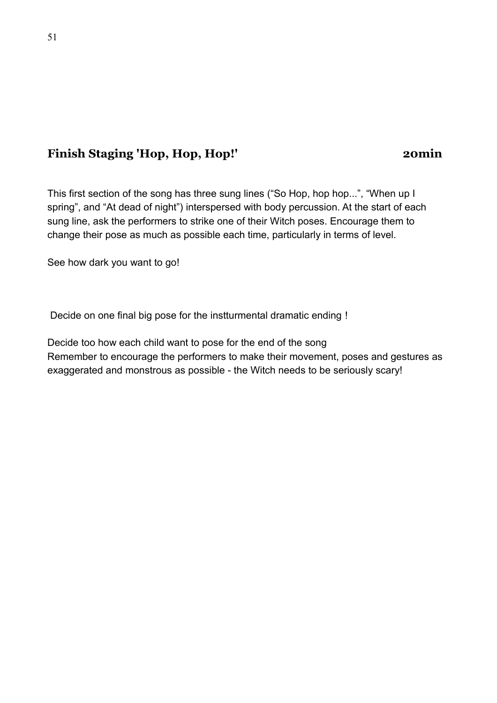## **Finish Staging 'Hop, Hop, Hop!' 20min**

This first section of the song has three sung lines ("So Hop, hop hop...", "When up I spring", and "At dead of night") interspersed with body percussion. At the start of each sung line, ask the performers to strike one of their Witch poses. Encourage them to change their pose as much as possible each time, particularly in terms of level.

See how dark you want to go!

Decide on one final big pose for the instturmental dramatic ending !

Decide too how each child want to pose for the end of the song Remember to encourage the performers to make their movement, poses and gestures as exaggerated and monstrous as possible - the Witch needs to be seriously scary!